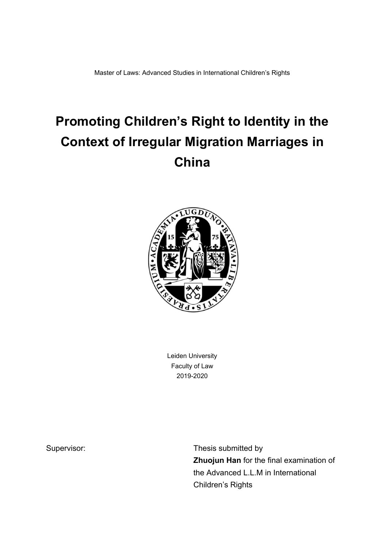Master of Laws: Advanced Studies in International Children's Rights

# **Promoting Children's Right to Identity in the Context of Irregular Migration Marriages in China**



Leiden University Faculty of Law 2019-2020

Supervisor: Supervisor: Thesis submitted by **Zhuojun Han** for the final examination of the Advanced L.L.M in International Children's Rights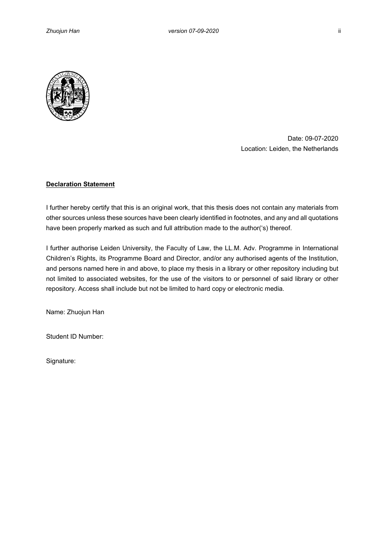

Date: 09-07-2020 Location: Leiden, the Netherlands

## **Declaration Statement**

I further hereby certify that this is an original work, that this thesis does not contain any materials from other sources unless these sources have been clearly identified in footnotes, and any and all quotations have been properly marked as such and full attribution made to the author('s) thereof.

I further authorise Leiden University, the Faculty of Law, the LL.M. Adv. Programme in International Children's Rights, its Programme Board and Director, and/or any authorised agents of the Institution, and persons named here in and above, to place my thesis in a library or other repository including but not limited to associated websites, for the use of the visitors to or personnel of said library or other repository. Access shall include but not be limited to hard copy or electronic media.

Name: Zhuojun Han

Student ID Number:

Signature: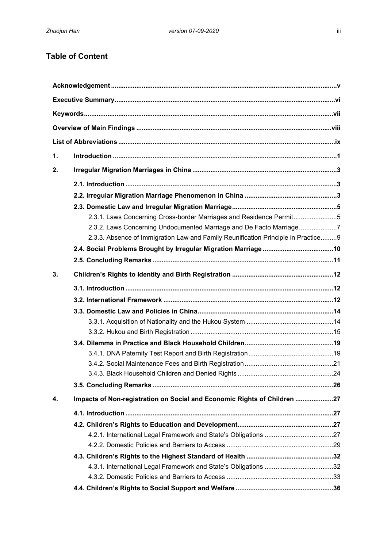# **Table of Content**

| $\mathbf{1}$ . |                                                                                   |  |  |  |
|----------------|-----------------------------------------------------------------------------------|--|--|--|
| 2.             |                                                                                   |  |  |  |
|                |                                                                                   |  |  |  |
|                |                                                                                   |  |  |  |
|                |                                                                                   |  |  |  |
|                | 2.3.1. Laws Concerning Cross-border Marriages and Residence Permit5               |  |  |  |
|                | 2.3.2. Laws Concerning Undocumented Marriage and De Facto Marriage7               |  |  |  |
|                | 2.3.3. Absence of Immigration Law and Family Reunification Principle in Practice9 |  |  |  |
|                |                                                                                   |  |  |  |
|                |                                                                                   |  |  |  |
|                |                                                                                   |  |  |  |
| 3.             |                                                                                   |  |  |  |
|                |                                                                                   |  |  |  |
|                |                                                                                   |  |  |  |
|                |                                                                                   |  |  |  |
|                |                                                                                   |  |  |  |
|                |                                                                                   |  |  |  |
|                |                                                                                   |  |  |  |
|                |                                                                                   |  |  |  |
|                |                                                                                   |  |  |  |
|                |                                                                                   |  |  |  |
|                |                                                                                   |  |  |  |
| 4.             | Impacts of Non-registration on Social and Economic Rights of Children 27          |  |  |  |
|                |                                                                                   |  |  |  |
|                |                                                                                   |  |  |  |
|                |                                                                                   |  |  |  |
|                |                                                                                   |  |  |  |
|                |                                                                                   |  |  |  |
|                |                                                                                   |  |  |  |
|                |                                                                                   |  |  |  |
|                |                                                                                   |  |  |  |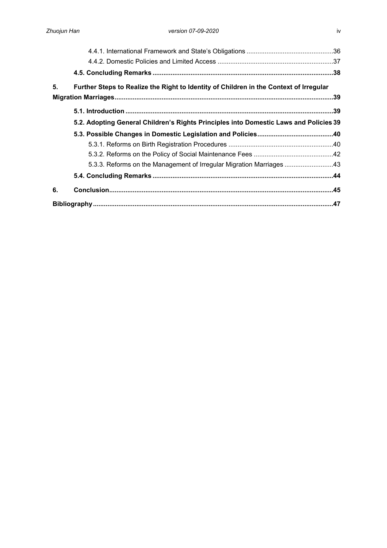| 5. | Further Steps to Realize the Right to Identity of Children in the Context of Irregular |  |  |
|----|----------------------------------------------------------------------------------------|--|--|
|    |                                                                                        |  |  |
|    |                                                                                        |  |  |
|    | 5.2. Adopting General Children's Rights Principles into Domestic Laws and Policies 39  |  |  |
|    |                                                                                        |  |  |
|    |                                                                                        |  |  |
|    |                                                                                        |  |  |
|    | 5.3.3. Reforms on the Management of Irregular Migration Marriages 43                   |  |  |
|    |                                                                                        |  |  |
| 6. |                                                                                        |  |  |
|    |                                                                                        |  |  |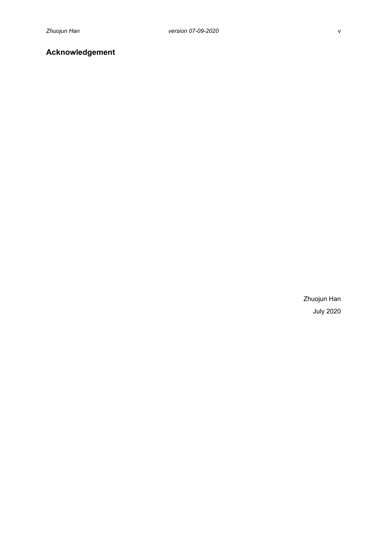# <span id="page-4-0"></span>**Acknowledgement**

Zhuojun Han July 2020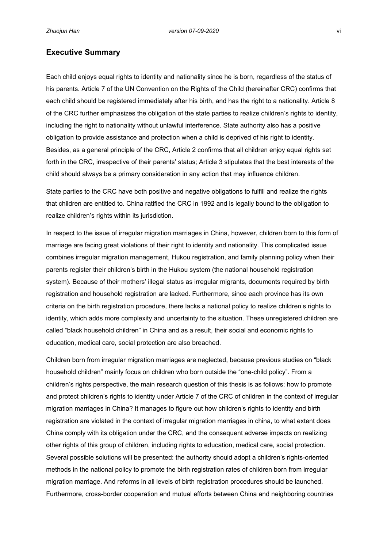## <span id="page-5-0"></span>**Executive Summary**

Each child enjoys equal rights to identity and nationality since he is born, regardless of the status of his parents. Article 7 of the UN Convention on the Rights of the Child (hereinafter CRC) confirms that each child should be registered immediately after his birth, and has the right to a nationality. Article 8 of the CRC further emphasizes the obligation of the state parties to realize children's rights to identity, including the right to nationality without unlawful interference. State authority also has a positive obligation to provide assistance and protection when a child is deprived of his right to identity. Besides, as a general principle of the CRC, Article 2 confirms that all children enjoy equal rights set forth in the CRC, irrespective of their parents' status; Article 3 stipulates that the best interests of the child should always be a primary consideration in any action that may influence children.

State parties to the CRC have both positive and negative obligations to fulfill and realize the rights that children are entitled to. China ratified the CRC in 1992 and is legally bound to the obligation to realize children's rights within its jurisdiction.

In respect to the issue of irregular migration marriages in China, however, children born to this form of marriage are facing great violations of their right to identity and nationality. This complicated issue combines irregular migration management, Hukou registration, and family planning policy when their parents register their children's birth in the Hukou system (the national household registration system). Because of their mothers' illegal status as irregular migrants, documents required by birth registration and household registration are lacked. Furthermore, since each province has its own criteria on the birth registration procedure, there lacks a national policy to realize children's rights to identity, which adds more complexity and uncertainty to the situation. These unregistered children are called "black household children" in China and as a result, their social and economic rights to education, medical care, social protection are also breached.

Children born from irregular migration marriages are neglected, because previous studies on "black household children" mainly focus on children who born outside the "one-child policy". From a children's rights perspective, the main research question of this thesis is as follows: how to promote and protect children's rights to identity under Article 7 of the CRC of children in the context of irregular migration marriages in China? It manages to figure out how children's rights to identity and birth registration are violated in the context of irregular migration marriages in china, to what extent does China comply with its obligation under the CRC, and the consequent adverse impacts on realizing other rights of this group of children, including rights to education, medical care, social protection. Several possible solutions will be presented: the authority should adopt a children's rights-oriented methods in the national policy to promote the birth registration rates of children born from irregular migration marriage. And reforms in all levels of birth registration procedures should be launched. Furthermore, cross-border cooperation and mutual efforts between China and neighboring countries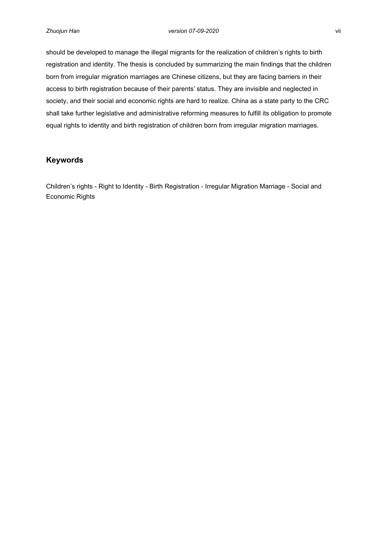should be developed to manage the illegal migrants for the realization of children's rights to birth registration and identity. The thesis is concluded by summarizing the main findings that the children born from irregular migration marriages are Chinese citizens, but they are facing barriers in their access to birth registration because of their parents' status. They are invisible and neglected in society, and their social and economic rights are hard to realize. China as a state party to the CRC shall take further legislative and administrative reforming measures to fulfill its obligation to promote equal rights to identity and birth registration of children born from irregular migration marriages.

## <span id="page-6-0"></span>**Keywords**

Children's rights - Right to Identity - Birth Registration - Irregular Migration Marriage - Social and Economic Rights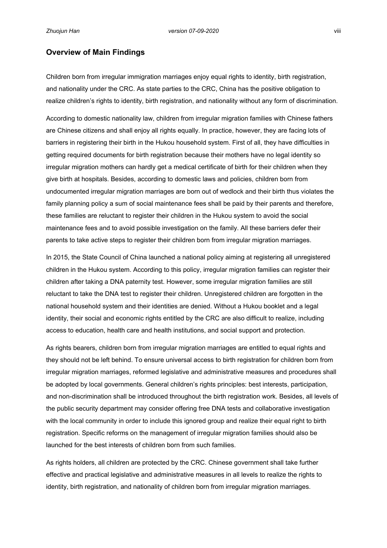## <span id="page-7-0"></span>**Overview of Main Findings**

Children born from irregular immigration marriages enjoy equal rights to identity, birth registration, and nationality under the CRC. As state parties to the CRC, China has the positive obligation to realize children's rights to identity, birth registration, and nationality without any form of discrimination.

According to domestic nationality law, children from irregular migration families with Chinese fathers are Chinese citizens and shall enjoy all rights equally. In practice, however, they are facing lots of barriers in registering their birth in the Hukou household system. First of all, they have difficulties in getting required documents for birth registration because their mothers have no legal identity so irregular migration mothers can hardly get a medical certificate of birth for their children when they give birth at hospitals. Besides, according to domestic laws and policies, children born from undocumented irregular migration marriages are born out of wedlock and their birth thus violates the family planning policy a sum of social maintenance fees shall be paid by their parents and therefore, these families are reluctant to register their children in the Hukou system to avoid the social maintenance fees and to avoid possible investigation on the family. All these barriers defer their parents to take active steps to register their children born from irregular migration marriages.

In 2015, the State Council of China launched a national policy aiming at registering all unregistered children in the Hukou system. According to this policy, irregular migration families can register their children after taking a DNA paternity test. However, some irregular migration families are still reluctant to take the DNA test to register their children. Unregistered children are forgotten in the national household system and their identities are denied. Without a Hukou booklet and a legal identity, their social and economic rights entitled by the CRC are also difficult to realize, including access to education, health care and health institutions, and social support and protection.

As rights bearers, children born from irregular migration marriages are entitled to equal rights and they should not be left behind. To ensure universal access to birth registration for children born from irregular migration marriages, reformed legislative and administrative measures and procedures shall be adopted by local governments. General children's rights principles: best interests, participation, and non-discrimination shall be introduced throughout the birth registration work. Besides, all levels of the public security department may consider offering free DNA tests and collaborative investigation with the local community in order to include this ignored group and realize their equal right to birth registration. Specific reforms on the management of irregular migration families should also be launched for the best interests of children born from such families.

As rights holders, all children are protected by the CRC. Chinese government shall take further effective and practical legislative and administrative measures in all levels to realize the rights to identity, birth registration, and nationality of children born from irregular migration marriages.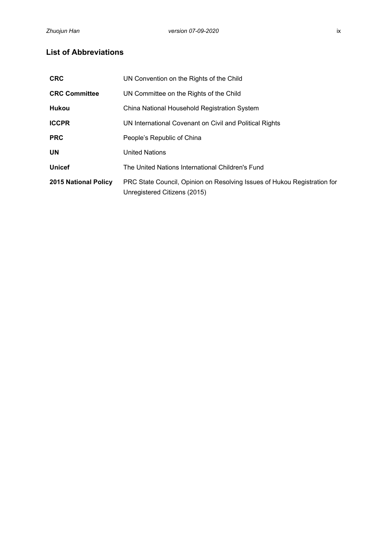## <span id="page-8-0"></span>**List of Abbreviations**

| <b>CRC</b>                  | UN Convention on the Rights of the Child                                                                 |
|-----------------------------|----------------------------------------------------------------------------------------------------------|
| <b>CRC Committee</b>        | UN Committee on the Rights of the Child                                                                  |
| <b>Hukou</b>                | China National Household Registration System                                                             |
| <b>ICCPR</b>                | UN International Covenant on Civil and Political Rights                                                  |
| <b>PRC</b>                  | People's Republic of China                                                                               |
| <b>UN</b>                   | <b>United Nations</b>                                                                                    |
| <b>Unicef</b>               | The United Nations International Children's Fund                                                         |
| <b>2015 National Policy</b> | PRC State Council, Opinion on Resolving Issues of Hukou Registration for<br>Unregistered Citizens (2015) |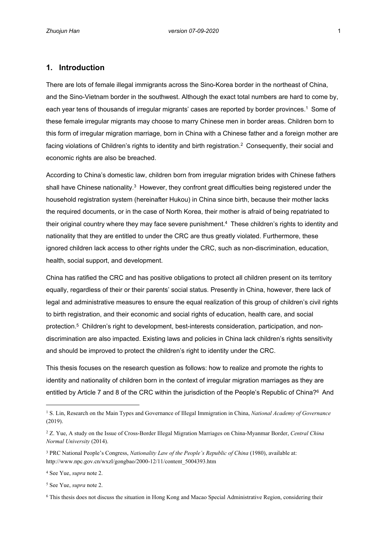## <span id="page-9-0"></span>**1. Introduction**

There are lots of female illegal immigrants across the Sino-Korea border in the northeast of China, and the Sino-Vietnam border in the southwest. Although the exact total numbers are hard to come by, each year tens of thousands of irregular migrants' cases are reported by border provinces.<sup>1</sup> Some of these female irregular migrants may choose to marry Chinese men in border areas. Children born to this form of irregular migration marriage, born in China with a Chinese father and a foreign mother are facing violations of Children's rights to identity and birth registration. $^2$  Consequently, their social and economic rights are also be breached.

According to China's domestic law, children born from irregular migration brides with Chinese fathers shall have Chinese nationality. $^3$  However, they confront great difficulties being registered under the household registration system (hereinafter Hukou) in China since birth, because their mother lacks the required documents, or in the case of North Korea, their mother is afraid of being repatriated to their original country where they may face severe punishment.<sup>4</sup> These children's rights to identity and nationality that they are entitled to under the CRC are thus greatly violated. Furthermore, these ignored children lack access to other rights under the CRC, such as non-discrimination, education, health, social support, and development.

China has ratified the CRC and has positive obligations to protect all children present on its territory equally, regardless of their or their parents' social status. Presently in China, however, there lack of legal and administrative measures to ensure the equal realization of this group of children's civil rights to birth registration, and their economic and social rights of education, health care, and social protection.<sup>5</sup> Children's right to development, best-interests consideration, participation, and nondiscrimination are also impacted. Existing laws and policies in China lack children's rights sensitivity and should be improved to protect the children's right to identity under the CRC.

This thesis focuses on the research question as follows: how to realize and promote the rights to identity and nationality of children born in the context of irregular migration marriages as they are entitled by Article 7 and 8 of the CRC within the jurisdiction of the People's Republic of China?6 And

5 See Yue, *supra* note 2.

<sup>&</sup>lt;sup>1</sup> S. Lin, Research on the Main Types and Governance of Illegal Immigration in China, *National Academy of Governance* (2019).

<sup>2</sup> Z. Yue, A study on the Issue of Cross-Border Illegal Migration Marriages on China-Myanmar Border, *Central China Normal University* (2014).

<sup>&</sup>lt;sup>3</sup> PRC National People's Congress, *Nationality Law of the People's Republic of China* (1980), available at: http://www.npc.gov.cn/wxzl/gongbao/2000-12/11/content\_5004393.htm

<sup>4</sup> See Yue, *supra* note 2.

<sup>6</sup> This thesis does not discuss the situation in Hong Kong and Macao Special Administrative Region, considering their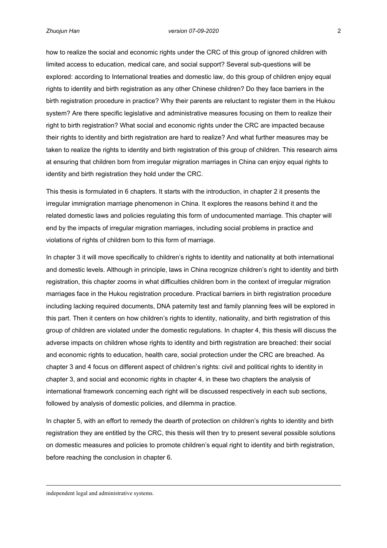how to realize the social and economic rights under the CRC of this group of ignored children with limited access to education, medical care, and social support? Several sub-questions will be explored: according to International treaties and domestic law, do this group of children enjoy equal rights to identity and birth registration as any other Chinese children? Do they face barriers in the birth registration procedure in practice? Why their parents are reluctant to register them in the Hukou system? Are there specific legislative and administrative measures focusing on them to realize their right to birth registration? What social and economic rights under the CRC are impacted because their rights to identity and birth registration are hard to realize? And what further measures may be taken to realize the rights to identity and birth registration of this group of children. This research aims at ensuring that children born from irregular migration marriages in China can enjoy equal rights to identity and birth registration they hold under the CRC.

This thesis is formulated in 6 chapters. It starts with the introduction, in chapter 2 it presents the irregular immigration marriage phenomenon in China. It explores the reasons behind it and the related domestic laws and policies regulating this form of undocumented marriage. This chapter will end by the impacts of irregular migration marriages, including social problems in practice and violations of rights of children born to this form of marriage.

In chapter 3 it will move specifically to children's rights to identity and nationality at both international and domestic levels. Although in principle, laws in China recognize children's right to identity and birth registration, this chapter zooms in what difficulties children born in the context of irregular migration marriages face in the Hukou registration procedure. Practical barriers in birth registration procedure including lacking required documents, DNA paternity test and family planning fees will be explored in this part. Then it centers on how children's rights to identity, nationality, and birth registration of this group of children are violated under the domestic regulations. In chapter 4, this thesis will discuss the adverse impacts on children whose rights to identity and birth registration are breached: their social and economic rights to education, health care, social protection under the CRC are breached. As chapter 3 and 4 focus on different aspect of children's rights: civil and political rights to identity in chapter 3, and social and economic rights in chapter 4, in these two chapters the analysis of international framework concerning each right will be discussed respectively in each sub sections, followed by analysis of domestic policies, and dilemma in practice.

In chapter 5, with an effort to remedy the dearth of protection on children's rights to identity and birth registration they are entitled by the CRC, this thesis will then try to present several possible solutions on domestic measures and policies to promote children's equal right to identity and birth registration, before reaching the conclusion in chapter 6.

independent legal and administrative systems.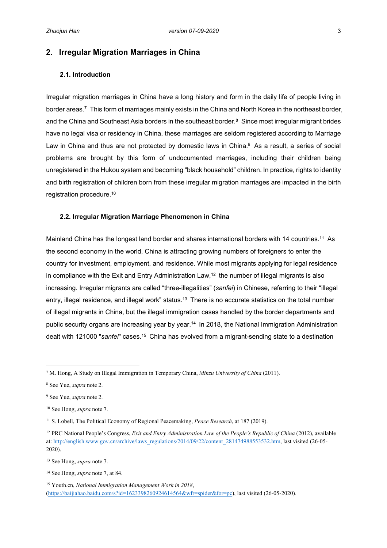## <span id="page-11-0"></span>**2. Irregular Migration Marriages in China**

## <span id="page-11-1"></span>**2.1. Introduction**

Irregular migration marriages in China have a long history and form in the daily life of people living in border areas.<sup>7</sup> This form of marriages mainly exists in the China and North Korea in the northeast border, and the China and Southeast Asia borders in the southeast border. $8$  Since most irregular migrant brides have no legal visa or residency in China, these marriages are seldom registered according to Marriage Law in China and thus are not protected by domestic laws in China. $9$  As a result, a series of social problems are brought by this form of undocumented marriages, including their children being unregistered in the Hukou system and becoming "black household" children. In practice, rights to identity and birth registration of children born from these irregular migration marriages are impacted in the birth registration procedure.<sup>10</sup>

#### <span id="page-11-2"></span>**2.2. Irregular Migration Marriage Phenomenon in China**

Mainland China has the longest land border and shares international borders with 14 countries.<sup>11</sup> As the second economy in the world, China is attracting growing numbers of foreigners to enter the country for investment, employment, and residence. While most migrants applying for legal residence in compliance with the Exit and Entry Administration Law,<sup>12</sup> the number of illegal migrants is also increasing. Irregular migrants are called "three-illegalities" (*sanfei*) in Chinese, referring to their "illegal entry, illegal residence, and illegal work" status.<sup>13</sup> There is no accurate statistics on the total number of illegal migrants in China, but the illegal immigration cases handled by the border departments and public security organs are increasing year by year.<sup>14</sup> In 2018, the National Immigration Administration dealt with 121000 "*sanfei*" cases.<sup>15</sup> China has evolved from a migrant-sending state to a destination

<sup>13</sup> See Hong, *supra* note 7.

<sup>7</sup> M. Hong, A Study on Illegal Immigration in Temporary China, *Minzu University of China* (2011).

<sup>8</sup> See Yue, *supra* note 2.

<sup>9</sup> See Yue, *supra* note 2.

<sup>10</sup> See Hong, *supra* note 7.

<sup>11</sup> S. Lobell, The Political Economy of Regional Peacemaking, *Peace Research*, at 187 (2019).

<sup>12</sup> PRC National People's Congress, *Exit and Entry Administration Law of the People's Republic of China* (2012), available at: [http://english.www.gov.cn/archive/laws\\_regulations/2014/09/22/content\\_281474988553532.htm](http://english.www.gov.cn/archive/laws_regulations/2014/09/22/content_281474988553532.htm), last visited (26-05-2020).

<sup>14</sup> See Hong, *supra* note 7, at 84.

<sup>15</sup> Youth.cn, *National Immigration Management Work in 2018*, (<https://baijiahao.baidu.com/s?id=1623398260924614564&wfr=spider&for=pc>), last visited (26-05-2020).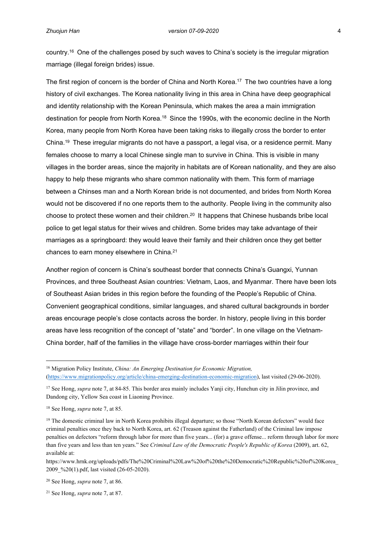country.<sup>16</sup> One of the challenges posed by such waves to China's society is the irregular migration marriage (illegal foreign brides) issue.

The first region of concern is the border of China and North Korea.<sup>17</sup> The two countries have a long history of civil exchanges. The Korea nationality living in this area in China have deep geographical and identity relationship with the Korean Peninsula, which makes the area a main immigration destination for people from North Korea.<sup>18</sup> Since the 1990s, with the economic decline in the North Korea, many people from North Korea have been taking risks to illegally cross the border to enter China.<sup>19</sup> These irregular migrants do not have a passport, a legal visa, or a residence permit. Many females choose to marry a local Chinese single man to survive in China. This is visible in many villages in the border areas, since the majority in habitats are of Korean nationality, and they are also happy to help these migrants who share common nationality with them. This form of marriage between a Chinses man and a North Korean bride is not documented, and brides from North Korea would not be discovered if no one reports them to the authority. People living in the community also choose to protect these women and their children.<sup>20</sup> It happens that Chinese husbands bribe local police to get legal status for their wives and children. Some brides may take advantage of their marriages as a springboard: they would leave their family and their children once they get better chances to earn money elsewhere in China.<sup>21</sup>

Another region of concern is China's southeast border that connects China's Guangxi, Yunnan Provinces, and three Southeast Asian countries: Vietnam, Laos, and Myanmar. There have been lots of Southeast Asian brides in this region before the founding of the People's Republic of China. Convenient geographical conditions, similar languages, and shared cultural backgrounds in border areas encourage people's close contacts across the border. In history, people living in this border areas have less recognition of the concept of "state" and "border". In one village on the Vietnam-China border, half of the families in the village have cross-border marriages within their four

https://www.hrnk.org/uploads/pdfs/The%20Criminal%20Law%20of%20the%20Democratic%20Republic%20of%20Korea\_ 2009\_%20(1).pdf, last visited (26-05-2020).

<sup>20</sup> See Hong, *supra* note 7, at 86.

21 See Hong, *supra* note 7, at 87.

<sup>16</sup> Migration Policy Institute, *China: An Emerging Destination for Economic Migration,*  ([https://www.migrationpolicy.org/article/china-emerging-destination-economic-migration\)](https://www.migrationpolicy.org/article/china-emerging-destination-economic-migration), last visited (29-06-2020).

<sup>&</sup>lt;sup>17</sup> See Hong, *supra* note 7, at 84-85. This border area mainly includes Yanji city, Hunchun city in Jilin province, and Dandong city, Yellow Sea coast in Liaoning Province.

<sup>18</sup> See Hong, *supra* note 7, at 85.

<sup>&</sup>lt;sup>19</sup> The domestic criminal law in North Korea prohibits illegal departure; so those "North Korean defectors" would face criminal penalties once they back to North Korea, art. 62 (Treason against the Fatherland) of the Criminal law impose penalties on defectors "reform through labor for more than five years... (for) a grave offense... reform through labor for more than five years and less than ten years." See *Criminal Law of the Democratic People's Republic of Korea* (2009), art. 62, available at: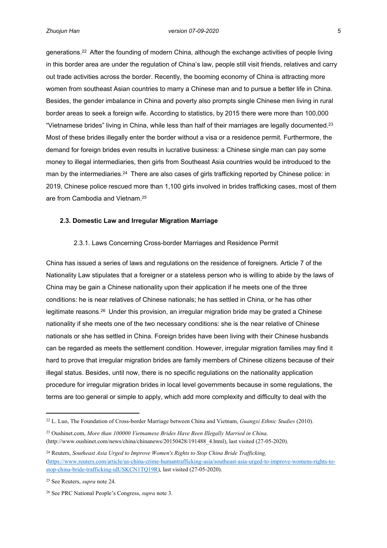generations.<sup>22</sup> After the founding of modern China, although the exchange activities of people living in this border area are under the regulation of China's law, people still visit friends, relatives and carry out trade activities across the border. Recently, the booming economy of China is attracting more women from southeast Asian countries to marry a Chinese man and to pursue a better life in China. Besides, the gender imbalance in China and poverty also prompts single Chinese men living in rural border areas to seek a foreign wife. According to statistics, by 2015 there were more than 100,000 "Vietnamese brides" living in China, while less than half of their marriages are legally documented.<sup>23</sup> Most of these brides illegally enter the border without a visa or a residence permit. Furthermore, the demand for foreign brides even results in lucrative business: a Chinese single man can pay some money to illegal intermediaries, then girls from Southeast Asia countries would be introduced to the man by the intermediaries.<sup>24</sup> There are also cases of girls trafficking reported by Chinese police: in 2019, Chinese police rescued more than 1,100 girls involved in brides trafficking cases, most of them are from Cambodia and Vietnam.<sup>25</sup>

## <span id="page-13-0"></span>**2.3. Domestic Law and Irregular Migration Marriage**

#### <span id="page-13-1"></span>2.3.1. Laws Concerning Cross-border Marriages and Residence Permit

China has issued a series of laws and regulations on the residence of foreigners. Article 7 of the Nationality Law stipulates that a foreigner or a stateless person who is willing to abide by the laws of China may be gain a Chinese nationality upon their application if he meets one of the three conditions: he is near relatives of Chinese nationals; he has settled in China, or he has other legitimate reasons.<sup>26</sup> Under this provision, an irregular migration bride may be grated a Chinese nationality if she meets one of the two necessary conditions: she is the near relative of Chinese nationals or she has settled in China. Foreign brides have been living with their Chinese husbands can be regarded as meets the settlement condition. However, irregular migration families may find it hard to prove that irregular migration brides are family members of Chinese citizens because of their illegal status. Besides, until now, there is no specific regulations on the nationality application procedure for irregular migration brides in local level governments because in some regulations, the terms are too general or simple to apply, which add more complexity and difficulty to deal with the

<sup>22</sup> L. Luo, The Foundation of Cross-border Marriage between China and Vietnam, *Guangxi Ethnic Studies* (2010).

<sup>23</sup> Oushinet.com, *More than 100000 Vietnamese Brides Have Been Illegally Married in China,* (http://www.oushinet.com/news/china/chinanews/20150428/191488\_4.html), last visited (27-05-2020).

<sup>24</sup> Reuters, *Southeast Asia Urged to Improve Women's Rights to Stop China Bride Trafficking,*  ([https://www.reuters.com/article/us-china-crime-humantrafficking-asia/southeast-asia-urged-to-improve-womens-rights-to](https://www.reuters.com/article/us-china-crime-humantrafficking-asia/southeast-asia-urged-to-improve-womens-rights-to-stop-china-bride-trafficking-idUSKCN1TQ19R)[stop-china-bride-trafficking-idUSKCN1TQ19R\)](https://www.reuters.com/article/us-china-crime-humantrafficking-asia/southeast-asia-urged-to-improve-womens-rights-to-stop-china-bride-trafficking-idUSKCN1TQ19R), last visited (27-05-2020).

<sup>25</sup> See Reuters, *supra* note 24.

<sup>26</sup> See PRC National People's Congress, *supra* note 3.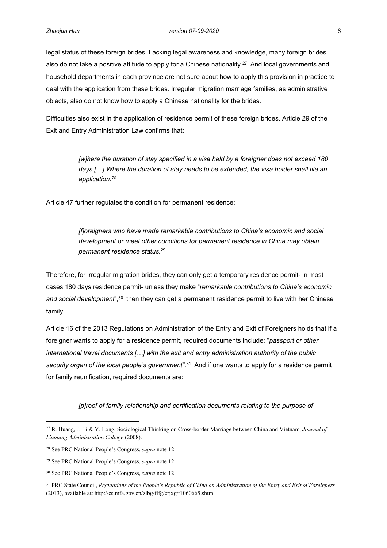legal status of these foreign brides. Lacking legal awareness and knowledge, many foreign brides also do not take a positive attitude to apply for a Chinese nationality.<sup>27</sup> And local governments and household departments in each province are not sure about how to apply this provision in practice to deal with the application from these brides. Irregular migration marriage families, as administrative objects, also do not know how to apply a Chinese nationality for the brides.

Difficulties also exist in the application of residence permit of these foreign brides. Article 29 of the Exit and Entry Administration Law confirms that:

> *[w]here the duration of stay specified in a visa held by a foreigner does not exceed 180 days […] Where the duration of stay needs to be extended, the visa holder shall file an application.<sup>28</sup>*

Article 47 further regulates the condition for permanent residence:

*[f]oreigners who have made remarkable contributions to China's economic and social development or meet other conditions for permanent residence in China may obtain permanent residence status.*<sup>29</sup>

Therefore, for irregular migration brides, they can only get a temporary residence permit- in most cases 180 days residence permit- unless they make "*remarkable contributions to China's economic*  and social development<sup>", 30</sup> then they can get a permanent residence permit to live with her Chinese family.

Article 16 of the 2013 Regulations on Administration of the Entry and Exit of Foreigners holds that if a foreigner wants to apply for a residence permit, required documents include: "*passport or other international travel documents […] with the exit and entry administration authority of the public security organ of the local people's government".*<sup>31</sup> And if one wants to apply for a residence permit for family reunification, required documents are:

#### *[p]roof of family relationship and certification documents relating to the purpose of*

<sup>27</sup> R. Huang, J. Li & Y. Long, Sociological Thinking on Cross-border Marriage between China and Vietnam, *Journal of Liaoning Administration College* (2008).

<sup>28</sup> See PRC National People's Congress, *supra* note 12.

<sup>29</sup> See PRC National People's Congress, *supra* note 12.

<sup>30</sup> See PRC National People's Congress, *supra* note 12.

<sup>31</sup> PRC State Council, *Regulations of the People's Republic of China on Administration of the Entry and Exit of Foreigners* (2013), available at: http://cs.mfa.gov.cn/zlbg/flfg/crjxg/t1060665.shtml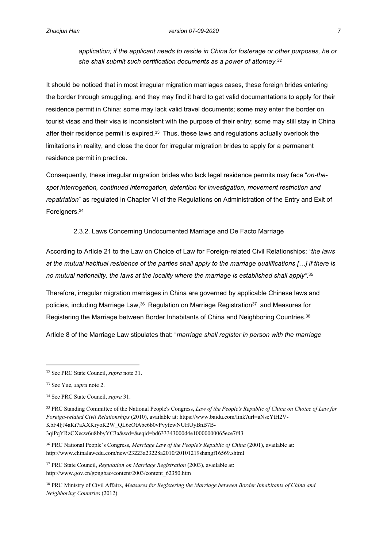*application; if the applicant needs to reside in China for fosterage or other purposes, he or she shall submit such certification documents as a power of attorney.<sup>32</sup>*

It should be noticed that in most irregular migration marriages cases, these foreign brides entering the border through smuggling, and they may find it hard to get valid documentations to apply for their residence permit in China: some may lack valid travel documents; some may enter the border on tourist visas and their visa is inconsistent with the purpose of their entry; some may still stay in China after their residence permit is expired.<sup>33</sup> Thus, these laws and regulations actually overlook the limitations in reality, and close the door for irregular migration brides to apply for a permanent residence permit in practice.

Consequently, these irregular migration brides who lack legal residence permits may face "*on-thespot interrogation, continued interrogation, detention for investigation, movement restriction and repatriation*" as regulated in Chapter VI of the Regulations on Administration of the Entry and Exit of Foreigners.<sup>34</sup>

## <span id="page-15-0"></span>2.3.2. Laws Concerning Undocumented Marriage and De Facto Marriage

According to Article 21 to the Law on Choice of Law for Foreign-related Civil Relationships: *"the laws at the mutual habitual residence of the parties shall apply to the marriage qualifications […] if there is no mutual nationality, the laws at the locality where the marriage is established shall apply".*<sup>35</sup>

Therefore, irregular migration marriages in China are governed by applicable Chinese laws and policies, including Marriage Law,<sup>36</sup> Regulation on Marriage Registration<sup>37</sup> and Measures for Registering the Marriage between Border Inhabitants of China and Neighboring Countries.<sup>38</sup>

Article 8 of the Marriage Law stipulates that: "*marriage shall register in person with the marriage* 

<sup>35</sup> PRC Standing Committee of the National People's Congress, *Law of the People's Republic of China on Choice of Law for Foreign-related Civil Relationships* (2010), available at: https://www.baidu.com/link?url=aNseYtH2V-KbF4ljJ4aKi7aXXKryoK2W\_QL6zOtAbc6b0vPvyfcwNUHUyBnB7B-3qiPqYRzCXecw6u8bbyYC3a&wd=&eqid=bd633343000d4e10000000065ece7f43

<sup>36</sup> PRC National People's Congress, *Marriage Law of the People's Republic of China* (2001), available at: http://www.chinalawedu.com/new/23223a23228a2010/20101219shangf16569.shtml

<sup>37</sup> PRC State Council, *Regulation on Marriage Registration* (2003), available at: http://www.gov.cn/gongbao/content/2003/content\_62350.htm

<sup>38</sup> PRC Ministry of Civil Affairs, *Measures for Registering the Marriage between Border Inhabitants of China and Neighboring Countries* (2012)

<sup>32</sup> See PRC State Council, *supra* note 31.

<sup>33</sup> See Yue, *supra* note 2.

<sup>34</sup> See PRC State Council, *supra* 31.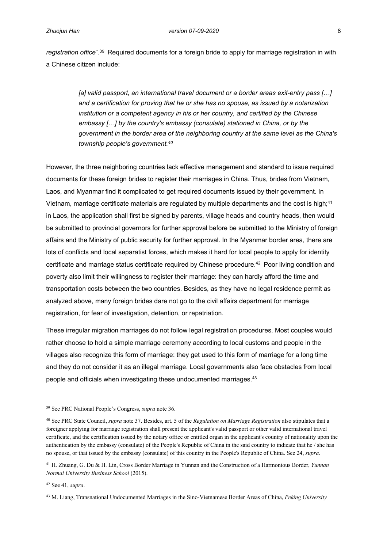*registration office*".<sup>39</sup> Required documents for a foreign bride to apply for marriage registration in with a Chinese citizen include:

> *[a] valid passport, an international travel document or a border areas exit-entry pass […] and a certification for proving that he or she has no spouse, as issued by a notarization institution or a competent agency in his or her country, and certified by the Chinese embassy […] by the country's embassy (consulate) stationed in China, or by the government in the border area of the neighboring country at the same level as the China's township people's government.<sup>40</sup>*

However, the three neighboring countries lack effective management and standard to issue required documents for these foreign brides to register their marriages in China. Thus, brides from Vietnam, Laos, and Myanmar find it complicated to get required documents issued by their government. In Vietnam, marriage certificate materials are regulated by multiple departments and the cost is high;<sup>41</sup> in Laos, the application shall first be signed by parents, village heads and country heads, then would be submitted to provincial governors for further approval before be submitted to the Ministry of foreign affairs and the Ministry of public security for further approval. In the Myanmar border area, there are lots of conflicts and local separatist forces, which makes it hard for local people to apply for identity certificate and marriage status certificate required by Chinese procedure.<sup>42</sup> Poor living condition and poverty also limit their willingness to register their marriage: they can hardly afford the time and transportation costs between the two countries. Besides, as they have no legal residence permit as analyzed above, many foreign brides dare not go to the civil affairs department for marriage registration, for fear of investigation, detention, or repatriation.

These irregular migration marriages do not follow legal registration procedures. Most couples would rather choose to hold a simple marriage ceremony according to local customs and people in the villages also recognize this form of marriage: they get used to this form of marriage for a long time and they do not consider it as an illegal marriage. Local governments also face obstacles from local people and officials when investigating these undocumented marriages.<sup>43</sup>

<sup>39</sup> See PRC National People's Congress, *supra* note 36.

<sup>40</sup> See PRC State Council, *supra* note 37. Besides, art. 5 of the *Regulation on Marriage Registration* also stipulates that a foreigner applying for marriage registration shall present the applicant's valid passport or other valid international travel certificate, and the certification issued by the notary office or entitled organ in the applicant's country of nationality upon the authentication by the embassy (consulate) of the People's Republic of China in the said country to indicate that he / she has no spouse, or that issued by the embassy (consulate) of this country in the People's Republic of China. See 24, *supra*.

<sup>41</sup> H. Zhuang, G. Du & H. Lin, Cross Border Marriage in Yunnan and the Construction of a Harmonious Border, *Yunnan Normal University Business School* (2015).

<sup>42</sup> See 41, *supra*.

<sup>43</sup> M. Liang, Transnational Undocumented Marriages in the Sino-Vietnamese Border Areas of China, *Peking University*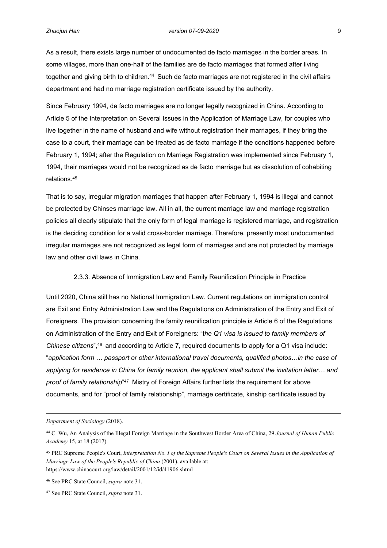As a result, there exists large number of undocumented de facto marriages in the border areas. In some villages, more than one-half of the families are de facto marriages that formed after living together and giving birth to children.<sup>44</sup> Such de facto marriages are not registered in the civil affairs department and had no marriage registration certificate issued by the authority.

Since February 1994, de facto marriages are no longer legally recognized in China. According to Article 5 of the Interpretation on Several Issues in the Application of Marriage Law, for couples who live together in the name of husband and wife without registration their marriages, if they bring the case to a court, their marriage can be treated as de facto marriage if the conditions happened before February 1, 1994; after the Regulation on Marriage Registration was implemented since February 1, 1994, their marriages would not be recognized as de facto marriage but as dissolution of cohabiting relations.<sup>45</sup>

That is to say, irregular migration marriages that happen after February 1, 1994 is illegal and cannot be protected by Chinses marriage law. All in all, the current marriage law and marriage registration policies all clearly stipulate that the only form of legal marriage is registered marriage, and registration is the deciding condition for a valid cross-border marriage. Therefore, presently most undocumented irregular marriages are not recognized as legal form of marriages and are not protected by marriage law and other civil laws in China.

## <span id="page-17-0"></span>2.3.3. Absence of Immigration Law and Family Reunification Principle in Practice

Until 2020, China still has no National Immigration Law. Current regulations on immigration control are Exit and Entry Administration Law and the Regulations on Administration of the Entry and Exit of Foreigners. The provision concerning the family reunification principle is Article 6 of the Regulations on Administration of the Entry and Exit of Foreigners: "t*he Q1 visa is issued to family members of Chinese citizens*",<sup>46</sup> and according to Article 7, required documents to apply for a Q1 visa include: "*application form … passport or other international travel documents, qualified photos…in the case of applying for residence in China for family reunion, the applicant shall submit the invitation letter… and*  proof of family relationship<sup>"47</sup> Mistry of Foreign Affairs further lists the requirement for above documents, and for "proof of family relationship", marriage certificate, kinship certificate issued by

*Department of Sociology* (2018).

<sup>44</sup> C. Wu, An Analysis of the Illegal Foreign Marriage in the Southwest Border Area of China, 29 *Journal of Hunan Public Academy* 15, at 18 (2017).

<sup>45</sup> PRC Supreme People's Court, *Interpretation No. I of the Supreme People's Court on Several Issues in the Application of Marriage Law of the People's Republic of China (2001), available at:* https://www.chinacourt.org/law/detail/2001/12/id/41906.shtml

<sup>46</sup> See PRC State Council, *supra* note 31.

<sup>47</sup> See PRC State Council, *supra* note 31.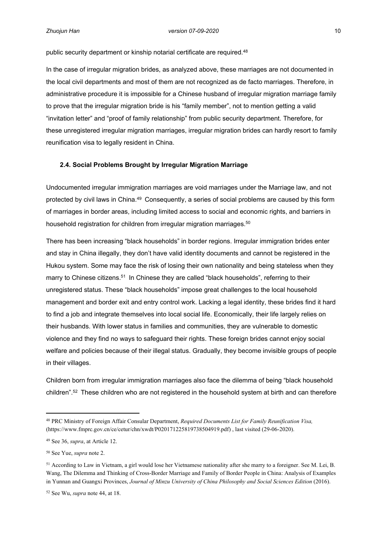public security department or kinship notarial certificate are required.<sup>48</sup>

In the case of irregular migration brides, as analyzed above, these marriages are not documented in the local civil departments and most of them are not recognized as de facto marriages. Therefore, in administrative procedure it is impossible for a Chinese husband of irregular migration marriage family to prove that the irregular migration bride is his "family member", not to mention getting a valid "invitation letter" and "proof of family relationship" from public security department. Therefore, for these unregistered irregular migration marriages, irregular migration brides can hardly resort to family reunification visa to legally resident in China.

#### <span id="page-18-0"></span>**2.4. Social Problems Brought by Irregular Migration Marriage**

Undocumented irregular immigration marriages are void marriages under the Marriage law, and not protected by civil laws in China.<sup>49</sup> Consequently, a series of social problems are caused by this form of marriages in border areas, including limited access to social and economic rights, and barriers in household registration for children from irregular migration marriages.<sup>50</sup>

There has been increasing "black households" in border regions. Irregular immigration brides enter and stay in China illegally, they don't have valid identity documents and cannot be registered in the Hukou system. Some may face the risk of losing their own nationality and being stateless when they marry to Chinese citizens.<sup>51</sup> In Chinese they are called "black households", referring to their unregistered status. These "black households" impose great challenges to the local household management and border exit and entry control work. Lacking a legal identity, these brides find it hard to find a job and integrate themselves into local social life. Economically, their life largely relies on their husbands. With lower status in families and communities, they are vulnerable to domestic violence and they find no ways to safeguard their rights. These foreign brides cannot enjoy social welfare and policies because of their illegal status. Gradually, they become invisible groups of people in their villages.

Children born from irregular immigration marriages also face the dilemma of being "black household children".<sup>52</sup> These children who are not registered in the household system at birth and can therefore

<sup>48</sup> PRC Ministry of Foreign Affair Consular Department, *Required Documents List for Family Reunification Visa,* (https://www.fmprc.gov.cn/ce/cetur/chn/xwdt/P020171225819738504919.pdf) , last visited (29-06-2020).

<sup>49</sup> See 36, *supra*, at Article 12.

<sup>50</sup> See Yue, *supra* note 2.

<sup>51</sup> According to Law in Vietnam, a girl would lose her Vietnamese nationality after she marry to a foreigner. See M. Lei, B. Wang, The Dilemma and Thinking of Cross-Border Marriage and Family of Border People in China: Analysis of Examples in Yunnan and Guangxi Provinces, Journal of Minzu University of China Philosophy and Social Sciences Edition (2016).

<sup>52</sup> See Wu, *supra* note 44, at 18.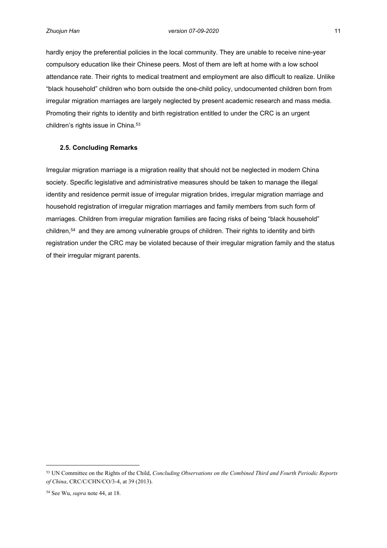hardly enjoy the preferential policies in the local community. They are unable to receive nine-year compulsory education like their Chinese peers. Most of them are left at home with a low school attendance rate. Their rights to medical treatment and employment are also difficult to realize. Unlike "black household" children who born outside the one-child policy, undocumented children born from irregular migration marriages are largely neglected by present academic research and mass media. Promoting their rights to identity and birth registration entitled to under the CRC is an urgent children's rights issue in China.<sup>53</sup>

## <span id="page-19-0"></span>**2.5. Concluding Remarks**

Irregular migration marriage is a migration reality that should not be neglected in modern China society. Specific legislative and administrative measures should be taken to manage the illegal identity and residence permit issue of irregular migration brides, irregular migration marriage and household registration of irregular migration marriages and family members from such form of marriages. Children from irregular migration families are facing risks of being "black household" children,<sup>54</sup> and they are among vulnerable groups of children. Their rights to identity and birth registration under the CRC may be violated because of their irregular migration family and the status of their irregular migrant parents.

<sup>53</sup> UN Committee on the Rights of the Child, *Concluding Observations on the Combined Third and Fourth Periodic Reports of China*, CRC/C/CHN/CO/3-4, at 39 (2013).

<sup>54</sup> See Wu, *supra* note 44, at 18.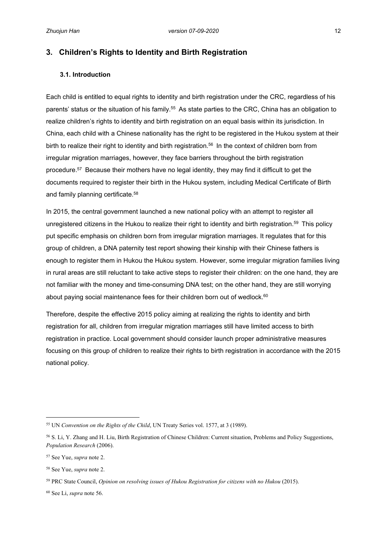## <span id="page-20-0"></span>**3. Children's Rights to Identity and Birth Registration**

## <span id="page-20-1"></span>**3.1. Introduction**

Each child is entitled to equal rights to identity and birth registration under the CRC, regardless of his parents' status or the situation of his family.<sup>55</sup> As state parties to the CRC, China has an obligation to realize children's rights to identity and birth registration on an equal basis within its jurisdiction. In China, each child with a Chinese nationality has the right to be registered in the Hukou system at their birth to realize their right to identity and birth registration.<sup>56</sup> In the context of children born from irregular migration marriages, however, they face barriers throughout the birth registration procedure.<sup>57</sup> Because their mothers have no legal identity, they may find it difficult to get the documents required to register their birth in the Hukou system, including Medical Certificate of Birth and family planning certificate.<sup>58</sup>

In 2015, the central government launched a new national policy with an attempt to register all unregistered citizens in the Hukou to realize their right to identity and birth registration.<sup>59</sup> This policy put specific emphasis on children born from irregular migration marriages. It regulates that for this group of children, a DNA paternity test report showing their kinship with their Chinese fathers is enough to register them in Hukou the Hukou system. However, some irregular migration families living in rural areas are still reluctant to take active steps to register their children: on the one hand, they are not familiar with the money and time-consuming DNA test; on the other hand, they are still worrying about paying social maintenance fees for their children born out of wedlock.<sup>60</sup>

Therefore, despite the effective 2015 policy aiming at realizing the rights to identity and birth registration for all, children from irregular migration marriages still have limited access to birth registration in practice. Local government should consider launch proper administrative measures focusing on this group of children to realize their rights to birth registration in accordance with the 2015 national policy.

<sup>55</sup> UN *Convention on the Rights of the Child*, UN Treaty Series vol. 1577, at 3 (1989).

<sup>56</sup> S. Li, Y. Zhang and H. Liu, Birth Registration of Chinese Children: Current situation, Problems and Policy Suggestions, *Population Research* (2006).

<sup>57</sup> See Yue, *supra* note 2.

<sup>58</sup> See Yue, *supra* note 2.

<sup>59</sup> PRC State Council, *Opinion on resolving issues of Hukou Registration for citizens with no Hukou* (2015).

<sup>60</sup> See Li, *supra* note 56.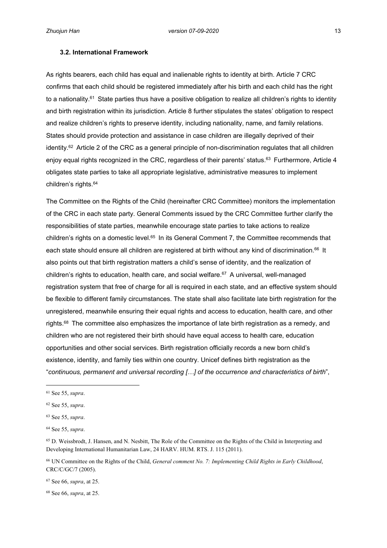#### <span id="page-21-0"></span>**3.2. International Framework**

As rights bearers, each child has equal and inalienable rights to identity at birth. Article 7 CRC confirms that each child should be registered immediately after his birth and each child has the right to a nationality.<sup>61</sup> State parties thus have a positive obligation to realize all children's rights to identity and birth registration within its jurisdiction. Article 8 further stipulates the states' obligation to respect and realize children's rights to preserve identity, including nationality, name, and family relations. States should provide protection and assistance in case children are illegally deprived of their identity.<sup>62</sup> Article 2 of the CRC as a general principle of non-discrimination regulates that all children enjoy equal rights recognized in the CRC, regardless of their parents' status.<sup>63</sup> Furthermore, Article 4 obligates state parties to take all appropriate legislative, administrative measures to implement children's rights.<sup>64</sup>

The Committee on the Rights of the Child (hereinafter CRC Committee) monitors the implementation of the CRC in each state party. General Comments issued by the CRC Committee further clarify the responsibilities of state parties, meanwhile encourage state parties to take actions to realize children's rights on a domestic level.<sup>65</sup> In its General Comment 7, the Committee recommends that each state should ensure all children are registered at birth without any kind of discrimination.<sup>66</sup> It also points out that birth registration matters a child's sense of identity, and the realization of children's rights to education, health care, and social welfare.<sup>67</sup> A universal, well-managed registration system that free of charge for all is required in each state, and an effective system should be flexible to different family circumstances. The state shall also facilitate late birth registration for the unregistered, meanwhile ensuring their equal rights and access to education, health care, and other rights.<sup>68</sup> The committee also emphasizes the importance of late birth registration as a remedy, and children who are not registered their birth should have equal access to health care, education opportunities and other social services. Birth registration officially records a new born child's existence, identity, and family ties within one country. Unicef defines birth registration as the "*continuous, permanent and universal recording […] of the occurrence and characteristics of birth*",

<sup>67</sup> See 66, *supra*, at 25.

68 See 66, *supra*, at 25.

<sup>61</sup> See 55, *supra*.

<sup>62</sup> See 55, *supra*.

<sup>63</sup> See 55, *supra*.

<sup>64</sup> See 55, *supra*.

<sup>65</sup> D. Weissbrodt, J. Hansen, and N. Nesbitt, The Role of the Committee on the Rights of the Child in Interpreting and Developing International Humanitarian Law, 24 HARV. HUM. RTS. J. 115 (2011).

<sup>66</sup> UN Committee on the Rights of the Child, *General comment No. 7: Implementing Child Rights in Early Childhood*, CRC/C/GC/7 (2005).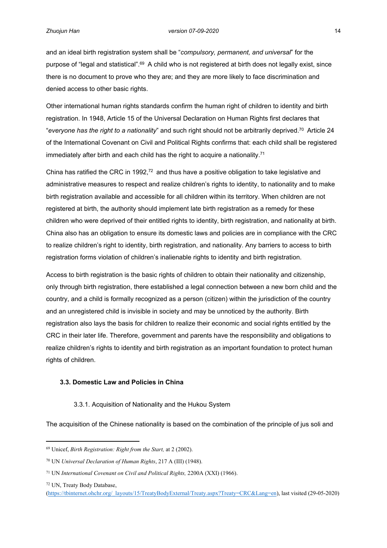and an ideal birth registration system shall be "*compulsory, permanent, and universal*" for the purpose of "legal and statistical".<sup>69</sup> A child who is not registered at birth does not legally exist, since there is no document to prove who they are; and they are more likely to face discrimination and denied access to other basic rights.

Other international human rights standards confirm the human right of children to identity and birth registration. In 1948, Article 15 of the Universal Declaration on Human Rights first declares that "*everyone has the right to a nationality*" and such right should not be arbitrarily deprived.<sup>70</sup> Article 24 of the International Covenant on Civil and Political Rights confirms that: each child shall be registered immediately after birth and each child has the right to acquire a nationality.<sup>71</sup>

China has ratified the CRC in 1992,<sup>72</sup> and thus have a positive obligation to take legislative and administrative measures to respect and realize children's rights to identity, to nationality and to make birth registration available and accessible for all children within its territory. When children are not registered at birth, the authority should implement late birth registration as a remedy for these children who were deprived of their entitled rights to identity, birth registration, and nationality at birth. China also has an obligation to ensure its domestic laws and policies are in compliance with the CRC to realize children's right to identity, birth registration, and nationality. Any barriers to access to birth registration forms violation of children's inalienable rights to identity and birth registration.

Access to birth registration is the basic rights of children to obtain their nationality and citizenship, only through birth registration, there established a legal connection between a new born child and the country, and a child is formally recognized as a person (citizen) within the jurisdiction of the country and an unregistered child is invisible in society and may be unnoticed by the authority. Birth registration also lays the basis for children to realize their economic and social rights entitled by the CRC in their later life. Therefore, government and parents have the responsibility and obligations to realize children's rights to identity and birth registration as an important foundation to protect human rights of children.

## <span id="page-22-0"></span>**3.3. Domestic Law and Policies in China**

## <span id="page-22-1"></span>3.3.1. Acquisition of Nationality and the Hukou System

The acquisition of the Chinese nationality is based on the combination of the principle of jus soli and

<sup>69</sup> Unicef, *Birth Registration: Right from the Start,* at 2 (2002).

<sup>70</sup> UN *Universal Declaration of Human Rights*, 217 A (III) (1948).

<sup>71</sup> UN *International Covenant on Civil and Political Rights,* 2200A (XXI) (1966).

<sup>72</sup> UN, Treaty Body Database,

<sup>(</sup>[https://tbinternet.ohchr.org/\\_layouts/15/TreatyBodyExternal/Treaty.aspx?Treaty=CRC&Lang=en](https://tbinternet.ohchr.org/_layouts/15/TreatyBodyExternal/Treaty.aspx?Treaty=CRC&Lang=en)), last visited (29-05-2020)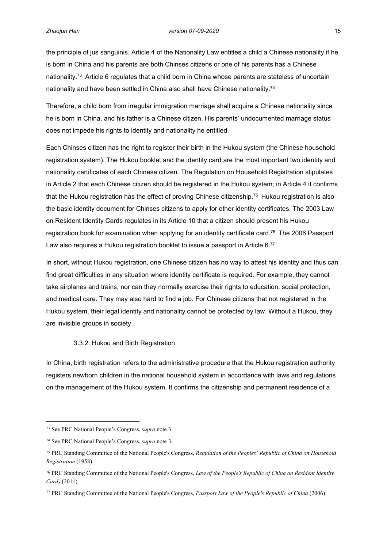the principle of jus sanguinis. Article 4 of the Nationality Law entitles a child a Chinese nationality if he is born in China and his parents are both Chinses citizens or one of his parents has a Chinese nationality.<sup>73</sup> Article 6 regulates that a child born in China whose parents are stateless of uncertain nationality and have been settled in China also shall have Chinese nationality.<sup>74</sup>

Therefore, a child born from irregular immigration marriage shall acquire a Chinese nationality since he is born in China, and his father is a Chinese citizen. His parents' undocumented marriage status does not impede his rights to identity and nationality he entitled.

Each Chinses citizen has the right to register their birth in the Hukou system (the Chinese household registration system). The Hukou booklet and the identity card are the most important two identity and nationality certificates of each Chinese citizen. The Regulation on Household Registration stipulates in Article 2 that each Chinese citizen should be registered in the Hukou system; in Article 4 it confirms that the Hukou registration has the effect of proving Chinese citizenship.<sup>75</sup> Hukou registration is also the basic identity document for Chinses citizens to apply for other identity certificates. The 2003 Law on Resident Identity Cards regulates in its Article 10 that a citizen should present his Hukou registration book for examination when applying for an identity certificate card.<sup>76</sup> The 2006 Passport Law also requires a Hukou registration booklet to issue a passport in Article 6.77

In short, without Hukou registration, one Chinese citizen has no way to attest his identity and thus can find great difficulties in any situation where identity certificate is required. For example, they cannot take airplanes and trains, nor can they normally exercise their rights to education, social protection, and medical care. They may also hard to find a job. For Chinese citizens that not registered in the Hukou system, their legal identity and nationality cannot be protected by law. Without a Hukou, they are invisible groups in society.

#### <span id="page-23-0"></span>3.3.2. Hukou and Birth Registration

In China, birth registration refers to the administrative procedure that the Hukou registration authority registers newborn children in the national household system in accordance with laws and regulations on the management of the Hukou system. It confirms the citizenship and permanent residence of a

<sup>73</sup> See PRC National People's Congress, *supra* note 3.

<sup>74</sup> See PRC National People's Congress, *supra* note 3.

<sup>75</sup> PRC Standing Committee of the National People's Congress, *Regulation of the Peoples' Republic of China on Household Registration* (1958).

<sup>76</sup> PRC Standing Committee of the National People's Congress, *Law of the People's Republic of China on Resident Identity Cards* (2011).

<sup>77</sup> PRC Standing Committee of the National People's Congress, *Passport Law of the People's Republic of China* (2006).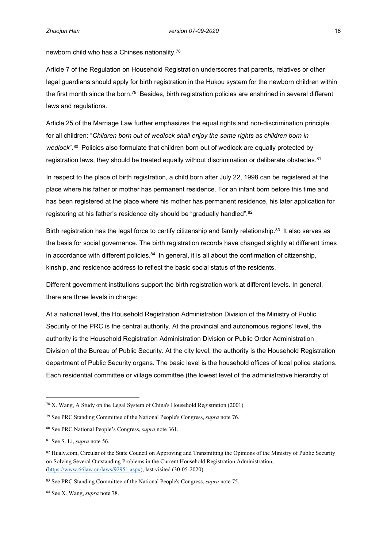newborn child who has a Chinses nationality.<sup>78</sup>

Article 7 of the Regulation on Household Registration underscores that parents, relatives or other legal guardians should apply for birth registration in the Hukou system for the newborn children within the first month since the born.<sup>79</sup> Besides, birth registration policies are enshrined in several different laws and regulations.

Article 25 of the Marriage Law further emphasizes the equal rights and non-discrimination principle for all children: "*Children born out of wedlock shall enjoy the same rights as children born in*  wedlock<sup>", 80</sup> Policies also formulate that children born out of wedlock are equally protected by registration laws, they should be treated equally without discrimination or deliberate obstacles.<sup>81</sup>

In respect to the place of birth registration, a child born after July 22, 1998 can be registered at the place where his father or mother has permanent residence. For an infant born before this time and has been registered at the place where his mother has permanent residence, his later application for registering at his father's residence city should be "gradually handled".<sup>82</sup>

Birth registration has the legal force to certify citizenship and family relationship.<sup>83</sup> It also serves as the basis for social governance. The birth registration records have changed slightly at different times in accordance with different policies. $84$  In general, it is all about the confirmation of citizenship, kinship, and residence address to reflect the basic social status of the residents.

Different government institutions support the birth registration work at different levels. In general, there are three levels in charge:

At a national level, the Household Registration Administration Division of the Ministry of Public Security of the PRC is the central authority. At the provincial and autonomous regions' level, the authority is the Household Registration Administration Division or Public Order Administration Division of the Bureau of Public Security. At the city level, the authority is the Household Registration department of Public Security organs. The basic level is the household offices of local police stations. Each residential committee or village committee (the lowest level of the administrative hierarchy of

<sup>78</sup> X. Wang, A Study on the Legal System of China's Household Registration (2001).

<sup>79</sup> See PRC Standing Committee of the National People's Congress, *supra* note 76.

<sup>80</sup> See PRC National People's Congress, *supra* note 361.

<sup>81</sup> See S. Li, *supra* note 56.

<sup>82</sup> Hualv.com, Circular of the State Council on Approving and Transmitting the Opinions of the Ministry of Public Security on Solving Several Outstanding Problems in the Current Household Registration Administration, (<https://www.66law.cn/laws/92951.aspx>), last visited (30-05-2020).

<sup>83</sup> See PRC Standing Committee of the National People's Congress, *supra* note 75.

<sup>84</sup> See X. Wang, *supra* note 78.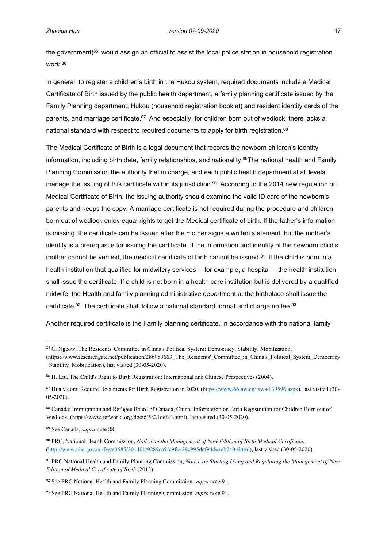the government) $85$  would assign an official to assist the local police station in household registration work.<sup>86</sup>

In general, to register a children's birth in the Hukou system, required documents include a Medical Certificate of Birth issued by the public health department, a family planning certificate issued by the Family Planning department, Hukou (household registration booklet) and resident identity cards of the parents, and marriage certificate.<sup>87</sup> And especially, for children born out of wedlock, there lacks a national standard with respect to required documents to apply for birth registration.<sup>88</sup>

The Medical Certificate of Birth is a legal document that records the newborn children's identity information, including birth date, family relationships, and nationality.<sup>89</sup>The national health and Family Planning Commission the authority that in charge, and each public health department at all levels manage the issuing of this certificate within its jurisdiction.<sup>90</sup> According to the 2014 new regulation on Medical Certificate of Birth, the issuing authority should examine the valid ID card of the newborn's parents and keeps the copy. A marriage certificate is not required during the procedure and children born out of wedlock enjoy equal rights to get the Medical certificate of birth. If the father's information is missing, the certificate can be issued after the mother signs a written statement, but the mother's identity is a prerequisite for issuing the certificate. If the information and identity of the newborn child's mother cannot be verified, the medical certificate of birth cannot be issued.<sup>91</sup> If the child is born in a health institution that qualified for midwifery services— for example, a hospital— the health institution shall issue the certificate. If a child is not born in a health care institution but is delivered by a qualified midwife, the Health and family planning administrative department at the birthplace shall issue the certificate. $92$  The certificate shall follow a national standard format and charge no fee. $93$ 

Another required certificate is the Family planning certificate. In accordance with the national family

<sup>85</sup> C. Ngeow, The Residents' Committee in China's Political System: Democracy, Stability, Mobilization,

<sup>(</sup>https://www.researchgate.net/publication/286989663\_The\_Residents'\_Committee\_in\_China's\_Political\_System\_Democracy Stability Mobilization), last visited (30-05-2020).

<sup>86</sup> H. Liu, The Child's Right to Birth Registration: International and Chinese Perspectives (2004).

<sup>87</sup> Hualv.com, Require Documents for Birth Registration in 2020, ([https://www.66law.cn/laws/139596.aspx\)](https://www.66law.cn/laws/139596.aspx), last visited (30- 05-2020).

<sup>88</sup> Canada: Immigration and Refugee Board of Canada, China: Information on Birth Registration for Children Born out of Wedlock, (https://www.refworld.org/docid/5821defa4.html), last visited (30-05-2020).

<sup>89</sup> See Canada, *supra* note 88.

<sup>90</sup> PRC, National Health Commission, *Notice on the Management of New Edition of Birth Medical Certificate*, ([http://www.nhc.gov.cn/fys/s3585/201401/9289ca9fc9fc429c995dcf94de4eb740.shtml\)](http://www.nhc.gov.cn/fys/s3585/201401/9289ca9fc9fc429c995dcf94de4eb740.shtml), last visited (30-05-2020).

<sup>91</sup> PRC National Health and Family Planning Commission, *Notice on Starting Using and Regulating the Management of New Edition of Medical Certificate of Birth* (2013).

<sup>92</sup> See PRC National Health and Family Planning Commission, *supra* note 91.

<sup>93</sup> See PRC National Health and Family Planning Commission, *supra* note 91.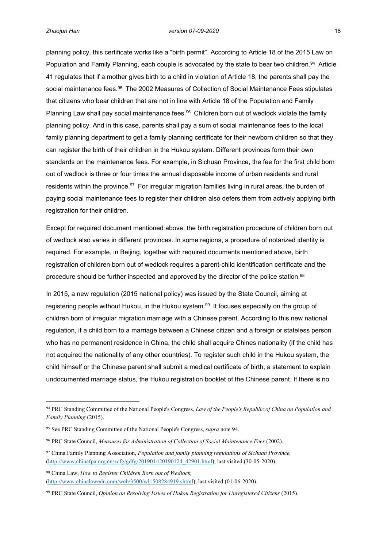planning policy, this certificate works like a "birth permit". According to Article 18 of the 2015 Law on Population and Family Planning, each couple is advocated by the state to bear two children.<sup>94</sup> Article 41 regulates that if a mother gives birth to a child in violation of Article 18, the parents shall pay the social maintenance fees.<sup>95</sup> The 2002 Measures of Collection of Social Maintenance Fees stipulates that citizens who bear children that are not in line with Article 18 of the Population and Family Planning Law shall pay social maintenance fees.<sup>96</sup> Children born out of wedlock violate the family planning policy. And in this case, parents shall pay a sum of social maintenance fees to the local family planning department to get a family planning certificate for their newborn children so that they can register the birth of their children in the Hukou system. Different provinces form their own standards on the maintenance fees. For example, in Sichuan Province, the fee for the first child born out of wedlock is three or four times the annual disposable income of urban residents and rural residents within the province.<sup>97</sup> For irregular migration families living in rural areas, the burden of paying social maintenance fees to register their children also defers them from actively applying birth registration for their children.

Except for required document mentioned above, the birth registration procedure of children born out of wedlock also varies in different provinces. In some regions, a procedure of notarized identity is required. For example, in Beijing, together with required documents mentioned above, birth registration of children born out of wedlock requires a parent-child identification certificate and the procedure should be further inspected and approved by the director of the police station.<sup>98</sup>

In 2015, a new regulation (2015 national policy) was issued by the State Council, aiming at registering people without Hukou, in the Hukou system.<sup>99</sup> It focuses especially on the group of children born of irregular migration marriage with a Chinese parent. According to this new national regulation, if a child born to a marriage between a Chinese citizen and a foreign or stateless person who has no permanent residence in China, the child shall acquire Chines nationality (if the child has not acquired the nationality of any other countries). To register such child in the Hukou system, the child himself or the Chinese parent shall submit a medical certificate of birth, a statement to explain undocumented marriage status, the Hukou registration booklet of the Chinese parent. If there is no

<sup>94</sup> PRC Standing Committee of the National People's Congress, *Law of the People's Republic of China on Population and Family Planning* (2015).

<sup>95</sup> See PRC Standing Committee of the National People's Congress, *supra* note 94.

<sup>96</sup> PRC State Council, *Measures for Administration of Collection of Social Maintenance Fees* (2002).

<sup>97</sup> China Family Planning Association, *Population and family planning regulations of Sichuan Province,* ([http://www.chinafpa.org.cn/zcfg/gdfg/201901/t20190124\\_42901.html](http://www.chinafpa.org.cn/zcfg/gdfg/201901/t20190124_42901.html)), last visited (30-05-2020).

<sup>98</sup> China Law, *How to Register Children Born out of Wedlock,* (<http://www.chinalawedu.com/web/3500/wl1508284919.shtml>), last visited (01-06-2020).

<sup>99</sup> PRC State Council, *Opinion on Resolving Issues of Hukou Registration for Unregistered Citizens* (2015).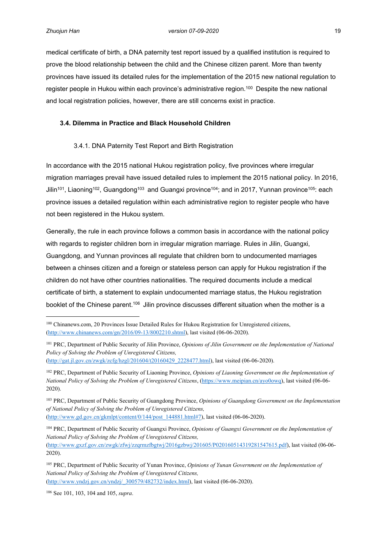medical certificate of birth, a DNA paternity test report issued by a qualified institution is required to prove the blood relationship between the child and the Chinese citizen parent. More than twenty provinces have issued its detailed rules for the implementation of the 2015 new national regulation to register people in Hukou within each province's administrative region.<sup>100</sup> Despite the new national and local registration policies, however, there are still concerns exist in practice.

## <span id="page-27-0"></span>**3.4. Dilemma in Practice and Black Household Children**

## <span id="page-27-1"></span>3.4.1. DNA Paternity Test Report and Birth Registration

In accordance with the 2015 national Hukou registration policy, five provinces where irregular migration marriages prevail have issued detailed rules to implement the 2015 national policy. In 2016, Jilin<sup>101</sup>, Liaoning<sup>102</sup>, Guangdong<sup>103</sup> and Guangxi province<sup>104</sup>; and in 2017, Yunnan province<sup>105</sup>: each province issues a detailed regulation within each administrative region to register people who have not been registered in the Hukou system.

Generally, the rule in each province follows a common basis in accordance with the national policy with regards to register children born in irregular migration marriage. Rules in Jilin, Guangxi, Guangdong, and Yunnan provinces all regulate that children born to undocumented marriages between a chinses citizen and a foreign or stateless person can apply for Hukou registration if the children do not have other countries nationalities. The required documents include a medical certificate of birth, a statement to explain undocumented marriage status, the Hukou registration booklet of the Chinese parent.<sup>106</sup> Jilin province discusses different situation when the mother is a

([http://www.gd.gov.cn/gkmlpt/content/0/144/post\\_144881.html#7](http://www.gd.gov.cn/gkmlpt/content/0/144/post_144881.html#7)), last visited (06-06-2020).

106 See 101, 103, 104 and 105, *supra*.

<sup>100</sup> Chinanews.com, 20 Provinces Issue Detailed Rules for Hukou Registration for Unregistered citizens, ([http://www.chinanews.com/gn/2016/09-13/8002210.shtml\)](http://www.chinanews.com/gn/2016/09-13/8002210.shtml), last visited (06-06-2020).

<sup>101</sup> PRC, Department of Public Security of Jilin Province, *Opinions of Jilin Government on the Implementation of National Policy of Solving the Problem of Unregistered Citizens,*  ([http://gat.jl.gov.cn/zwgk/zcfg/hzgl/201604/t20160429\\_2228477.html](http://gat.jl.gov.cn/zwgk/zcfg/hzgl/201604/t20160429_2228477.html)), last visited (06-06-2020).

<sup>102</sup> PRC, Department of Public Security of Liaoning Province, *Opinions of Liaoning Government on the Implementation of National Policy of Solving the Problem of Unregistered Citizens*, [\(https://www.meipian.cn/ayo0owq](https://www.meipian.cn/ayo0owq)), last visited (06-06- 2020).

<sup>103</sup> PRC, Department of Public Security of Guangdong Province, *Opinions of Guangdong Government on the Implementation of National Policy of Solving the Problem of Unregistered Citizens,* 

<sup>104</sup> PRC, Department of Public Security of Guangxi Province, *Opinions of Guangxi Government on the Implementation of National Policy of Solving the Problem of Unregistered Citizens,*  ([http://www.gxzf.gov.cn/zwgk/zfwj/zzqrmzfbgtwj/2016gzbwj/201605/P020160514319281547615.pdf\)](http://www.gxzf.gov.cn/zwgk/zfwj/zzqrmzfbgtwj/2016gzbwj/201605/P020160514319281547615.pdf), last visited (06-06- 2020).

<sup>105</sup> PRC, Department of Public Security of Yunan Province, *Opinions of Yunan Government on the Implementation of National Policy of Solving the Problem of Unregistered Citizens,* ([http://www.yndzj.gov.cn/yndzj/\\_300579/482732/index.html\)](http://www.yndzj.gov.cn/yndzj/_300579/482732/index.html), last visited (06-06-2020).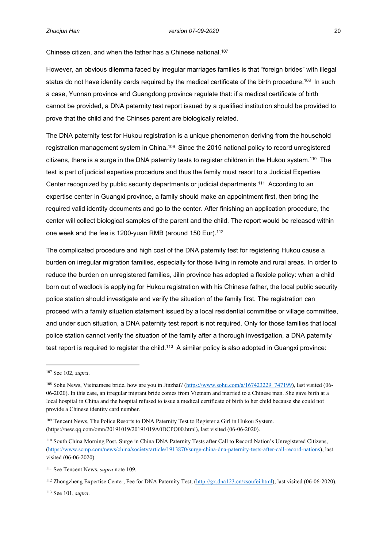Chinese citizen, and when the father has a Chinese national.<sup>107</sup>

However, an obvious dilemma faced by irregular marriages families is that "foreign brides" with illegal status do not have identity cards required by the medical certificate of the birth procedure.<sup>108</sup> In such a case, Yunnan province and Guangdong province regulate that: if a medical certificate of birth cannot be provided, a DNA paternity test report issued by a qualified institution should be provided to prove that the child and the Chinses parent are biologically related.

The DNA paternity test for Hukou registration is a unique phenomenon deriving from the household registration management system in China.<sup>109</sup> Since the 2015 national policy to record unregistered citizens, there is a surge in the DNA paternity tests to register children in the Hukou system.<sup>110</sup> The test is part of judicial expertise procedure and thus the family must resort to a Judicial Expertise Center recognized by public security departments or judicial departments.<sup>111</sup> According to an expertise center in Guangxi province, a family should make an appointment first, then bring the required valid identity documents and go to the center. After finishing an application procedure, the center will collect biological samples of the parent and the child. The report would be released within one week and the fee is 1200-yuan RMB (around 150 Eur).<sup>112</sup>

The complicated procedure and high cost of the DNA paternity test for registering Hukou cause a burden on irregular migration families, especially for those living in remote and rural areas. In order to reduce the burden on unregistered families, Jilin province has adopted a flexible policy: when a child born out of wedlock is applying for Hukou registration with his Chinese father, the local public security police station should investigate and verify the situation of the family first. The registration can proceed with a family situation statement issued by a local residential committee or village committee, and under such situation, a DNA paternity test report is not required. Only for those families that local police station cannot verify the situation of the family after a thorough investigation, a DNA paternity test report is required to register the child.<sup>113</sup> A similar policy is also adopted in Guangxi province:

113 See 101, *supra*.

<sup>107</sup> See 102, *supra*.

<sup>&</sup>lt;sup>108</sup> Sohu News, Vietnamese bride, how are you in Jinzhai? [\(https://www.sohu.com/a/167423229\\_747199\)](https://www.sohu.com/a/167423229_747199), last visited (06-06-2020). In this case, an irregular migrant bride comes from Vietnam and married to a Chinese man. She gave birth at a local hospital in China and the hospital refused to issue a medical certificate of birth to her child because she could not provide a Chinese identity card number.

<sup>&</sup>lt;sup>109</sup> Tencent News, The Police Resorts to DNA Paternity Test to Register a Girl in Hukou System. (https://new.qq.com/omn/20191019/20191019A0DCPO00.html), last visited (06-06-2020).

<sup>110</sup> South China Morning Post, Surge in China DNA Paternity Tests after Call to Record Nation's Unregistered Citizens, (<https://www.scmp.com/news/china/society/article/1913870/surge-china-dna-paternity-tests-after-call-record-nations>), last visited (06-06-2020).

<sup>111</sup> See Tencent News, *supra* note 109.

<sup>&</sup>lt;sup>112</sup> Zhongzheng Expertise Center, Fee for DNA Paternity Test, ([http://gx.dna123.cn/zsoufei.html\)](http://gx.dna123.cn/zsoufei.html), last visited (06-06-2020).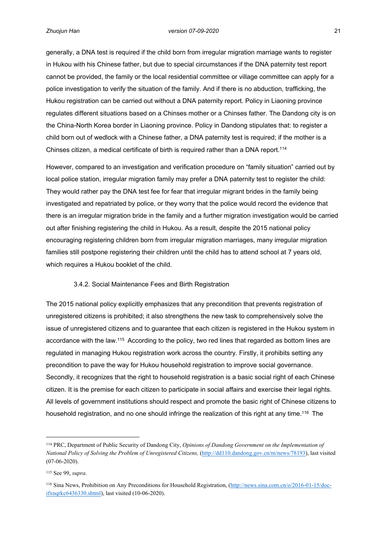generally, a DNA test is required if the child born from irregular migration marriage wants to register in Hukou with his Chinese father, but due to special circumstances if the DNA paternity test report cannot be provided, the family or the local residential committee or village committee can apply for a police investigation to verify the situation of the family. And if there is no abduction, trafficking, the Hukou registration can be carried out without a DNA paternity report. Policy in Liaoning province regulates different situations based on a Chinses mother or a Chinses father. The Dandong city is on the China-North Korea border in Liaoning province. Policy in Dandong stipulates that: to register a child born out of wedlock with a Chinese father, a DNA paternity test is required; if the mother is a Chinses citizen, a medical certificate of birth is required rather than a DNA report.<sup>114</sup>

However, compared to an investigation and verification procedure on "family situation" carried out by local police station, irregular migration family may prefer a DNA paternity test to register the child: They would rather pay the DNA test fee for fear that irregular migrant brides in the family being investigated and repatriated by police, or they worry that the police would record the evidence that there is an irregular migration bride in the family and a further migration investigation would be carried out after finishing registering the child in Hukou. As a result, despite the 2015 national policy encouraging registering children born from irregular migration marriages, many irregular migration families still postpone registering their children until the child has to attend school at 7 years old, which requires a Hukou booklet of the child.

## <span id="page-29-0"></span>3.4.2. Social Maintenance Fees and Birth Registration

The 2015 national policy explicitly emphasizes that any precondition that prevents registration of unregistered citizens is prohibited; it also strengthens the new task to comprehensively solve the issue of unregistered citizens and to guarantee that each citizen is registered in the Hukou system in accordance with the law.<sup>115</sup> According to the policy, two red lines that regarded as bottom lines are regulated in managing Hukou registration work across the country. Firstly, it prohibits setting any precondition to pave the way for Hukou household registration to improve social governance. Secondly, it recognizes that the right to household registration is a basic social right of each Chinese citizen. It is the premise for each citizen to participate in social affairs and exercise their legal rights. All levels of government institutions should respect and promote the basic right of Chinese citizens to household registration, and no one should infringe the realization of this right at any time.<sup>116</sup> The

<sup>114</sup> PRC, Department of Public Security of Dandong City, *Opinions of Dandong Government on the Implementation of National Policy of Solving the Problem of Unregistered Citizens,* [\(http://dd110.dandong.gov.cn/m/news/78193\)](http://dd110.dandong.gov.cn/m/news/78193), last visited (07-06-2020).

<sup>115</sup> See 99, *supra*.

<sup>116</sup> Sina News, Prohibition on Any Preconditions for Household Registration, [\(http://news.sina.com.cn/o/2016-01-15/doc](http://news.sina.com.cn/o/2016-01-15/doc-ifxnqrkc6436330.shtml)[ifxnqrkc6436330.shtml](http://news.sina.com.cn/o/2016-01-15/doc-ifxnqrkc6436330.shtml)), last visited (10-06-2020).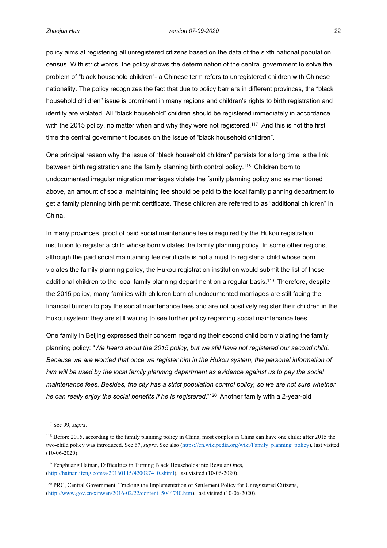policy aims at registering all unregistered citizens based on the data of the sixth national population census. With strict words, the policy shows the determination of the central government to solve the problem of "black household children"- a Chinese term refers to unregistered children with Chinese nationality. The policy recognizes the fact that due to policy barriers in different provinces, the "black household children" issue is prominent in many regions and children's rights to birth registration and identity are violated. All "black household" children should be registered immediately in accordance with the 2015 policy, no matter when and why they were not registered.<sup>117</sup> And this is not the first time the central government focuses on the issue of "black household children".

One principal reason why the issue of "black household children" persists for a long time is the link between birth registration and the family planning birth control policy.<sup>118</sup> Children born to undocumented irregular migration marriages violate the family planning policy and as mentioned above, an amount of social maintaining fee should be paid to the local family planning department to get a family planning birth permit certificate. These children are referred to as "additional children" in China.

In many provinces, proof of paid social maintenance fee is required by the Hukou registration institution to register a child whose born violates the family planning policy. In some other regions, although the paid social maintaining fee certificate is not a must to register a child whose born violates the family planning policy, the Hukou registration institution would submit the list of these additional children to the local family planning department on a regular basis.<sup>119</sup> Therefore, despite the 2015 policy, many families with children born of undocumented marriages are still facing the financial burden to pay the social maintenance fees and are not positively register their children in the Hukou system: they are still waiting to see further policy regarding social maintenance fees.

One family in Beijing expressed their concern regarding their second child born violating the family planning policy: "*We heard about the 2015 policy, but we still have not registered our second child. Because we are worried that once we register him in the Hukou system, the personal information of him will be used by the local family planning department as evidence against us to pay the social maintenance fees. Besides, the city has a strict population control policy, so we are not sure whether he can really enjoy the social benefits if he is registered*."<sup>120</sup> Another family with a 2-year-old

<sup>117</sup> See 99, *supra*.

<sup>118</sup> Before 2015, according to the family planning policy in China, most couples in China can have one child; after 2015 the two-child policy was introduced. See 67, *supra*. See also [\(https://en.wikipedia.org/wiki/Family\\_planning\\_policy](https://en.wikipedia.org/wiki/Family_planning_policy)), last visited (10-06-2020).

<sup>119</sup> Fenghuang Hainan, Difficulties in Turning Black Households into Regular Ones, ([http://hainan.ifeng.com/a/20160115/4200274\\_0.shtml](http://hainan.ifeng.com/a/20160115/4200274_0.shtml)), last visited (10-06-2020).

<sup>120</sup> PRC, Central Government, Tracking the Implementation of Settlement Policy for Unregistered Citizens, ([http://www.gov.cn/xinwen/2016-02/22/content\\_5044740.htm\)](http://www.gov.cn/xinwen/2016-02/22/content_5044740.htm), last visited (10-06-2020).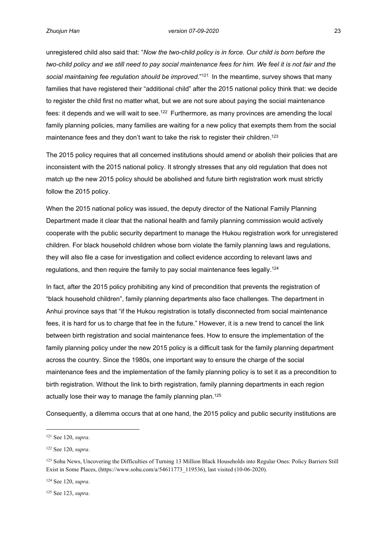unregistered child also said that: "*Now the two-child policy is in force. Our child is born before the two-child policy and we still need to pay social maintenance fees for him. We feel it is not fair and the*  social maintaining fee regulation should be improved."<sup>121</sup> In the meantime, survey shows that many families that have registered their "additional child" after the 2015 national policy think that: we decide to register the child first no matter what, but we are not sure about paying the social maintenance fees: it depends and we will wait to see.<sup>122</sup> Furthermore, as many provinces are amending the local family planning policies, many families are waiting for a new policy that exempts them from the social maintenance fees and they don't want to take the risk to register their children.<sup>123</sup>

The 2015 policy requires that all concerned institutions should amend or abolish their policies that are inconsistent with the 2015 national policy. It strongly stresses that any old regulation that does not match up the new 2015 policy should be abolished and future birth registration work must strictly follow the 2015 policy.

When the 2015 national policy was issued, the deputy director of the National Family Planning Department made it clear that the national health and family planning commission would actively cooperate with the public security department to manage the Hukou registration work for unregistered children. For black household children whose born violate the family planning laws and regulations, they will also file a case for investigation and collect evidence according to relevant laws and regulations, and then require the family to pay social maintenance fees legally.<sup>124</sup>

In fact, after the 2015 policy prohibiting any kind of precondition that prevents the registration of "black household children", family planning departments also face challenges. The department in Anhui province says that "if the Hukou registration is totally disconnected from social maintenance fees, it is hard for us to charge that fee in the future." However, it is a new trend to cancel the link between birth registration and social maintenance fees. How to ensure the implementation of the family planning policy under the new 2015 policy is a difficult task for the family planning department across the country. Since the 1980s, one important way to ensure the charge of the social maintenance fees and the implementation of the family planning policy is to set it as a precondition to birth registration. Without the link to birth registration, family planning departments in each region actually lose their way to manage the family planning plan.<sup>125</sup>

Consequently, a dilemma occurs that at one hand, the 2015 policy and public security institutions are

<sup>121</sup> See 120, *supra*.

<sup>122</sup> See 120, *supra*.

<sup>123</sup> Sohu News, Uncovering the Difficulties of Turning 13 Million Black Households into Regular Ones: Policy Barriers Still Exist in Some Places, (https://www.sohu.com/a/54611773\_119536), last visited (10-06-2020).

<sup>124</sup> See 120, *supra*.

<sup>125</sup> See 123, *supra*.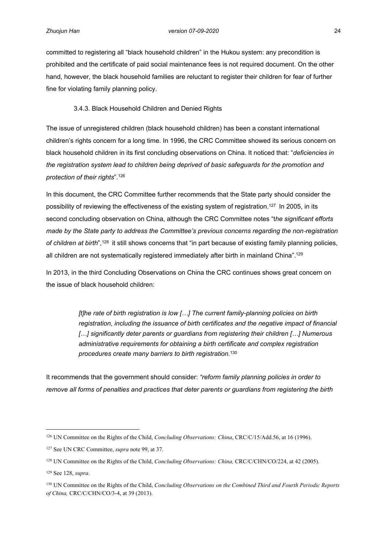committed to registering all "black household children" in the Hukou system: any precondition is prohibited and the certificate of paid social maintenance fees is not required document. On the other hand, however, the black household families are reluctant to register their children for fear of further fine for violating family planning policy.

## <span id="page-32-0"></span>3.4.3. Black Household Children and Denied Rights

The issue of unregistered children (black household children) has been a constant international children's rights concern for a long time. In 1996, the CRC Committee showed its serious concern on black household children in its first concluding observations on China. It noticed that: "*deficiencies in the registration system lead to children being deprived of basic safeguards for the promotion and protection of their rights*".<sup>126</sup>

In this document, the CRC Committee further recommends that the State party should consider the possibility of reviewing the effectiveness of the existing system of registration.<sup>127</sup> In 2005, in its second concluding observation on China, although the CRC Committee notes "t*he significant efforts made by the State party to address the Committee's previous concerns regarding the non‑registration of children at birth*",<sup>128</sup> it still shows concerns that "in part because of existing family planning policies, all children are not systematically registered immediately after birth in mainland China".<sup>129</sup>

In 2013, in the third Concluding Observations on China the CRC continues shows great concern on the issue of black household children:

> *[t]he rate of birth registration is low […] The current family-planning policies on birth registration, including the issuance of birth certificates and the negative impact of financial […] significantly deter parents or guardians from registering their children […] Numerous administrative requirements for obtaining a birth certificate and complex registration procedures create many barriers to birth registration.*<sup>130</sup>

It recommends that the government should consider: *"reform family planning policies in order to remove all forms of penalties and practices that deter parents or guardians from registering the birth* 

<sup>126</sup> UN Committee on the Rights of the Child, *Concluding Observations: China*, CRC/C/15/Add.56, at 16 (1996).

<sup>127</sup> See UN CRC Committee, *supra* note 99, at 37.

<sup>128</sup> UN Committee on the Rights of the Child, *Concluding Observations: China,* CRC/C/CHN/CO/224, at 42 (2005).

<sup>129</sup> See 128, *supra*.

<sup>130</sup> UN Committee on the Rights of the Child, *Concluding Observations on the Combined Third and Fourth Periodic Reports of China,* CRC/C/CHN/CO/3-4, at 39 (2013).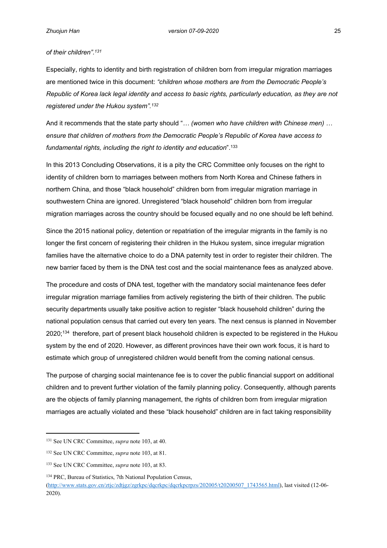## *of their children".<sup>131</sup>*

Especially, rights to identity and birth registration of children born from irregular migration marriages are mentioned twice in this document: *"children whose mothers are from the Democratic People's Republic of Korea lack legal identity and access to basic rights, particularly education, as they are not registered under the Hukou system".<sup>132</sup>*

And it recommends that the state party should "*… (women who have children with Chinese men) … ensure that children of mothers from the Democratic People's Republic of Korea have access to fundamental rights, including the right to identity and education*".<sup>133</sup>

In this 2013 Concluding Observations, it is a pity the CRC Committee only focuses on the right to identity of children born to marriages between mothers from North Korea and Chinese fathers in northern China, and those "black household" children born from irregular migration marriage in southwestern China are ignored. Unregistered "black household" children born from irregular migration marriages across the country should be focused equally and no one should be left behind.

Since the 2015 national policy, detention or repatriation of the irregular migrants in the family is no longer the first concern of registering their children in the Hukou system, since irregular migration families have the alternative choice to do a DNA paternity test in order to register their children. The new barrier faced by them is the DNA test cost and the social maintenance fees as analyzed above.

The procedure and costs of DNA test, together with the mandatory social maintenance fees defer irregular migration marriage families from actively registering the birth of their children. The public security departments usually take positive action to register "black household children" during the national population census that carried out every ten years. The next census is planned in November 2020;<sup>134</sup> therefore, part of present black household children is expected to be registered in the Hukou system by the end of 2020. However, as different provinces have their own work focus, it is hard to estimate which group of unregistered children would benefit from the coming national census.

The purpose of charging social maintenance fee is to cover the public financial support on additional children and to prevent further violation of the family planning policy. Consequently, although parents are the objects of family planning management, the rights of children born from irregular migration marriages are actually violated and these "black household" children are in fact taking responsibility

<sup>131</sup> See UN CRC Committee, *supra* note 103, at 40.

<sup>132</sup> See UN CRC Committee, *supra* note 103, at 81.

<sup>133</sup> See UN CRC Committee, *supra* note 103, at 83.

<sup>134</sup> PRC, Bureau of Statistics, 7th National Population Census,

<sup>(</sup>[http://www.stats.gov.cn/ztjc/zdtjgz/zgrkpc/dqcrkpc/dqcrkpcrpzs/202005/t20200507\\_1743565.html\)](http://www.stats.gov.cn/ztjc/zdtjgz/zgrkpc/dqcrkpc/dqcrkpcrpzs/202005/t20200507_1743565.html), last visited (12-06- 2020).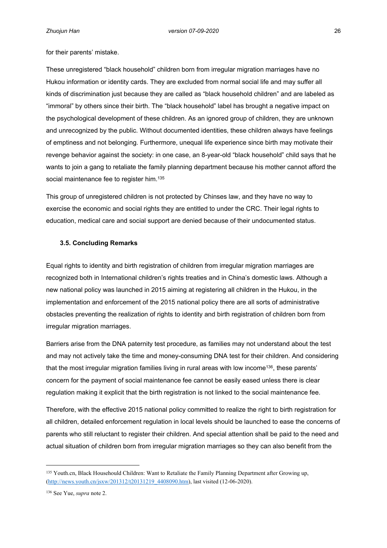for their parents' mistake.

These unregistered "black household" children born from irregular migration marriages have no Hukou information or identity cards. They are excluded from normal social life and may suffer all kinds of discrimination just because they are called as "black household children" and are labeled as "immoral" by others since their birth. The "black household" label has brought a negative impact on the psychological development of these children. As an ignored group of children, they are unknown and unrecognized by the public. Without documented identities, these children always have feelings of emptiness and not belonging. Furthermore, unequal life experience since birth may motivate their revenge behavior against the society: in one case, an 8-year-old "black household" child says that he wants to join a gang to retaliate the family planning department because his mother cannot afford the social maintenance fee to register him.<sup>135</sup>

This group of unregistered children is not protected by Chinses law, and they have no way to exercise the economic and social rights they are entitled to under the CRC. Their legal rights to education, medical care and social support are denied because of their undocumented status.

#### <span id="page-34-0"></span>**3.5. Concluding Remarks**

Equal rights to identity and birth registration of children from irregular migration marriages are recognized both in International children's rights treaties and in China's domestic laws. Although a new national policy was launched in 2015 aiming at registering all children in the Hukou, in the implementation and enforcement of the 2015 national policy there are all sorts of administrative obstacles preventing the realization of rights to identity and birth registration of children born from irregular migration marriages.

Barriers arise from the DNA paternity test procedure, as families may not understand about the test and may not actively take the time and money-consuming DNA test for their children. And considering that the most irregular migration families living in rural areas with low income<sup>136</sup>, these parents' concern for the payment of social maintenance fee cannot be easily eased unless there is clear regulation making it explicit that the birth registration is not linked to the social maintenance fee.

Therefore, with the effective 2015 national policy committed to realize the right to birth registration for all children, detailed enforcement regulation in local levels should be launched to ease the concerns of parents who still reluctant to register their children. And special attention shall be paid to the need and actual situation of children born from irregular migration marriages so they can also benefit from the

<sup>135</sup> Youth.cn, Black Househould Children: Want to Retaliate the Family Planning Department after Growing up, ([http://news.youth.cn/jsxw/201312/t20131219\\_4408090.htm\)](http://news.youth.cn/jsxw/201312/t20131219_4408090.htm), last visited (12-06-2020).

<sup>136</sup> See Yue, *supra* note 2.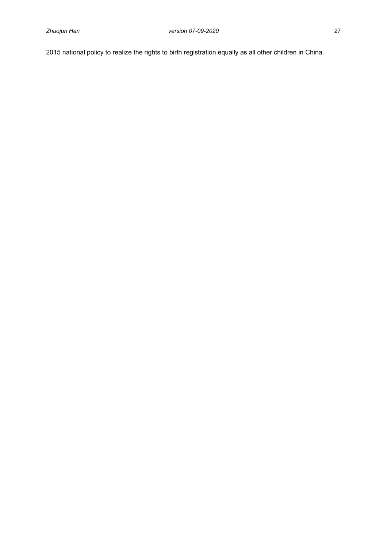2015 national policy to realize the rights to birth registration equally as all other children in China.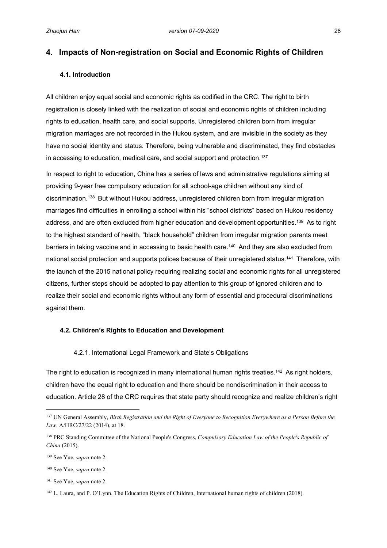## <span id="page-36-0"></span>**4. Impacts of Non-registration on Social and Economic Rights of Children**

## <span id="page-36-1"></span>**4.1. Introduction**

All children enjoy equal social and economic rights as codified in the CRC. The right to birth registration is closely linked with the realization of social and economic rights of children including rights to education, health care, and social supports. Unregistered children born from irregular migration marriages are not recorded in the Hukou system, and are invisible in the society as they have no social identity and status. Therefore, being vulnerable and discriminated, they find obstacles in accessing to education, medical care, and social support and protection.<sup>137</sup>

In respect to right to education, China has a series of laws and administrative regulations aiming at providing 9-year free compulsory education for all school-age children without any kind of discrimination.<sup>138</sup> But without Hukou address, unregistered children born from irregular migration marriages find difficulties in enrolling a school within his "school districts" based on Hukou residency address, and are often excluded from higher education and development opportunities.<sup>139</sup> As to right to the highest standard of health, "black household" children from irregular migration parents meet barriers in taking vaccine and in accessing to basic health care.<sup>140</sup> And they are also excluded from national social protection and supports polices because of their unregistered status.<sup>141</sup> Therefore, with the launch of the 2015 national policy requiring realizing social and economic rights for all unregistered citizens, further steps should be adopted to pay attention to this group of ignored children and to realize their social and economic rights without any form of essential and procedural discriminations against them.

## <span id="page-36-2"></span>**4.2. Children's Rights to Education and Development**

#### <span id="page-36-3"></span>4.2.1. International Legal Framework and State's Obligations

The right to education is recognized in many international human rights treaties.<sup>142</sup> As right holders, children have the equal right to education and there should be nondiscrimination in their access to education. Article 28 of the CRC requires that state party should recognize and realize children's right

<sup>137</sup> UN General Assembly, *Birth Registration and the Right of Everyone to Recognition Everywhere as a Person Before the Law*, A/HRC/27/22 (2014), at 18.

<sup>138</sup> PRC Standing Committee of the National People's Congress, *Compulsory Education Law of the People's Republic of China* (2015).

<sup>139</sup> See Yue, *supra* note 2.

<sup>140</sup> See Yue, *supra* note 2.

<sup>141</sup> See Yue, *supra* note 2.

<sup>142</sup> L. Laura, and P. O'Lynn, The Education Rights of Children, International human rights of children (2018).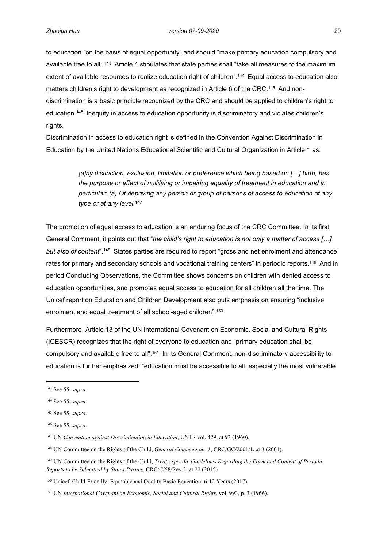to education "on the basis of equal opportunity" and should "make primary education compulsory and available free to all".<sup>143</sup> Article 4 stipulates that state parties shall "take all measures to the maximum extent of available resources to realize education right of children".<sup>144</sup> Equal access to education also matters children's right to development as recognized in Article 6 of the CRC.<sup>145</sup> And nondiscrimination is a basic principle recognized by the CRC and should be applied to children's right to education.<sup>146</sup> Inequity in access to education opportunity is discriminatory and violates children's rights.

Discrimination in access to education right is defined in the Convention Against Discrimination in Education by the United Nations Educational Scientific and Cultural Organization in Article 1 as:

> *[a]ny distinction, exclusion, limitation or preference which being based on […] birth, has the purpose or effect of nullifying or impairing equality of treatment in education and in particular: (a) Of depriving any person or group of persons of access to education of any type or at any level.*<sup>147</sup>

The promotion of equal access to education is an enduring focus of the CRC Committee. In its first General Comment, it points out that "*the child's right to education is not only a matter of access […] but also of content*".<sup>148</sup> States parties are required to report "gross and net enrolment and attendance rates for primary and secondary schools and vocational training centers" in periodic reports.<sup>149</sup> And in period Concluding Observations, the Committee shows concerns on children with denied access to education opportunities, and promotes equal access to education for all children all the time. The Unicef report on Education and Children Development also puts emphasis on ensuring "inclusive enrolment and equal treatment of all school-aged children".<sup>150</sup>

Furthermore, Article 13 of the UN International Covenant on Economic, Social and Cultural Rights (ICESCR) recognizes that the right of everyone to education and "primary education shall be compulsory and available free to all".<sup>151</sup> In its General Comment, non-discriminatory accessibility to education is further emphasized: "education must be accessible to all, especially the most vulnerable

<sup>143</sup> See 55, *supra*.

<sup>144</sup> See 55, *supra*.

<sup>145</sup> See 55, *supra*.

<sup>146</sup> See 55, *supra*.

<sup>147</sup> UN *Convention against Discrimination in Education*, UNTS vol. 429, at 93 (1960).

<sup>148</sup> UN Committee on the Rights of the Child, *General Comment no. 1*, CRC/GC/2001/1, at 3 (2001).

<sup>149</sup> UN Committee on the Rights of the Child, *Treaty-specific Guidelines Regarding the Form and Content of Periodic Reports to be Submitted by States Parties*, CRC/C/58/Rev.3, at 22 (2015).

<sup>150</sup> Unicef, Child-Friendly, Equitable and Quality Basic Education: 6-12 Years (2017).

<sup>151</sup> UN *International Covenant on Economic, Social and Cultural Rights*, vol. 993, p. 3 (1966).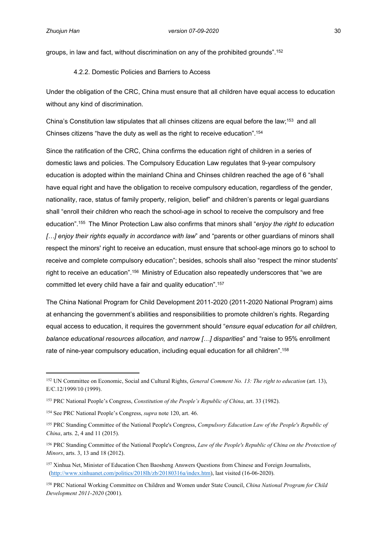groups, in law and fact, without discrimination on any of the prohibited grounds".<sup>152</sup>

<span id="page-38-0"></span>4.2.2. Domestic Policies and Barriers to Access

Under the obligation of the CRC, China must ensure that all children have equal access to education without any kind of discrimination.

China's Constitution law stipulates that all chinses citizens are equal before the law;<sup>153</sup> and all Chinses citizens "have the duty as well as the right to receive education".<sup>154</sup>

Since the ratification of the CRC, China confirms the education right of children in a series of domestic laws and policies. The Compulsory Education Law regulates that 9-year compulsory education is adopted within the mainland China and Chinses children reached the age of 6 "shall have equal right and have the obligation to receive compulsory education, regardless of the gender, nationality, race, status of family property, religion, belief" and children's parents or legal guardians shall "enroll their children who reach the school-age in school to receive the compulsory and free education".<sup>155</sup> The Minor Protection Law also confirms that minors shall "*enjoy the right to education […] enjoy their rights equally in accordance with law*" and "parents or other guardians of minors shall respect the minors' right to receive an education, must ensure that school-age minors go to school to receive and complete compulsory education"; besides, schools shall also "respect the minor students' right to receive an education".<sup>156</sup> Ministry of Education also repeatedly underscores that "we are committed let every child have a fair and quality education".<sup>157</sup>

The China National Program for Child Development 2011-2020 (2011-2020 National Program) aims at enhancing the government's abilities and responsibilities to promote children's rights. Regarding equal access to education, it requires the government should "*ensure equal education for all children, balance educational resources allocation, and narrow […] disparities*" and "raise to 95% enrollment rate of nine-year compulsory education, including equal education for all children".<sup>158</sup>

<sup>152</sup> UN Committee on Economic, Social and Cultural Rights, *General Comment No. 13: The right to education* (art. 13), E/C.12/1999/10 (1999).

<sup>153</sup> PRC National People's Congress, *Constitution of the People's Republic of China*, art. 33 (1982).

<sup>154</sup> See PRC National People's Congress, *supra* note 120, art. 46.

<sup>155</sup> PRC Standing Committee of the National People's Congress, *Compulsory Education Law of the People's Republic of China*, arts. 2, 4 and 11 (2015).

<sup>156</sup> PRC Standing Committee of the National People's Congress, *Law of the People's Republic of China on the Protection of Minors*, arts. 3, 13 and 18 (2012).

<sup>157</sup> Xinhua Net, Minister of Education Chen Baosheng Answers Questions from Chinese and Foreign Journalists, [\(http://www.xinhuanet.com/politics/2018lh/zb/20180316a/index.htm\)](http://www.xinhuanet.com/politics/2018lh/zb/20180316a/index.htm), last visited (16-06-2020).

<sup>158</sup> PRC National Working Committee on Children and Women under State Council, *China National Program for Child Development 2011-2020* (2001).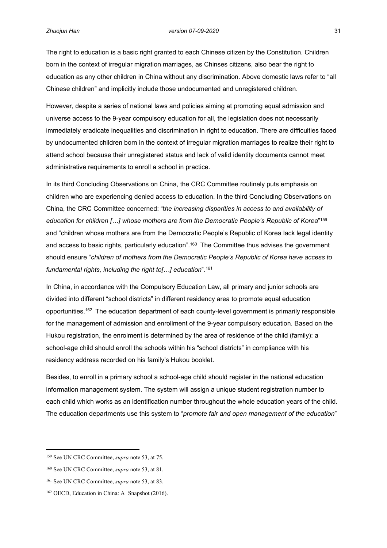The right to education is a basic right granted to each Chinese citizen by the Constitution. Children born in the context of irregular migration marriages, as Chinses citizens, also bear the right to education as any other children in China without any discrimination. Above domestic laws refer to "all Chinese children" and implicitly include those undocumented and unregistered children.

However, despite a series of national laws and policies aiming at promoting equal admission and universe access to the 9-year compulsory education for all, the legislation does not necessarily immediately eradicate inequalities and discrimination in right to education. There are difficulties faced by undocumented children born in the context of irregular migration marriages to realize their right to attend school because their unregistered status and lack of valid identity documents cannot meet administrative requirements to enroll a school in practice.

In its third Concluding Observations on China, the CRC Committee routinely puts emphasis on children who are experiencing denied access to education. In the third Concluding Observations on China, the CRC Committee concerned: "t*he increasing disparities in access to and availability of education for children […] whose mothers are from the Democratic People's Republic of Korea*" 159 and "children whose mothers are from the Democratic People's Republic of Korea lack legal identity and access to basic rights, particularly education".<sup>160</sup> The Committee thus advises the government should ensure "*children of mothers from the Democratic People's Republic of Korea have access to fundamental rights, including the right to[…] education*".<sup>161</sup>

In China, in accordance with the Compulsory Education Law, all primary and junior schools are divided into different "school districts" in different residency area to promote equal education opportunities.<sup>162</sup> The education department of each county-level government is primarily responsible for the management of admission and enrollment of the 9-year compulsory education. Based on the Hukou registration, the enrolment is determined by the area of residence of the child (family): a school-age child should enroll the schools within his "school districts" in compliance with his residency address recorded on his family's Hukou booklet.

Besides, to enroll in a primary school a school-age child should register in the national education information management system. The system will assign a unique student registration number to each child which works as an identification number throughout the whole education years of the child. The education departments use this system to "*promote fair and open management of the education*"

<sup>159</sup> See UN CRC Committee, *supra* note 53, at 75.

<sup>160</sup> See UN CRC Committee, *supra* note 53, at 81.

<sup>161</sup> See UN CRC Committee, *supra* note 53, at 83.

<sup>162</sup> OECD, Education in China: A Snapshot (2016).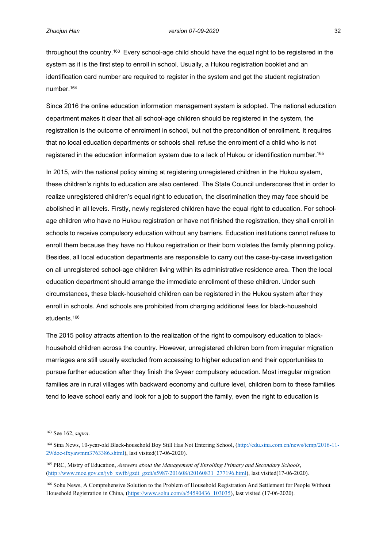throughout the country.<sup>163</sup> Every school-age child should have the equal right to be registered in the system as it is the first step to enroll in school. Usually, a Hukou registration booklet and an identification card number are required to register in the system and get the student registration number.<sup>164</sup>

Since 2016 the online education information management system is adopted. The national education department makes it clear that all school-age children should be registered in the system, the registration is the outcome of enrolment in school, but not the precondition of enrollment. It requires that no local education departments or schools shall refuse the enrolment of a child who is not registered in the education information system due to a lack of Hukou or identification number.<sup>165</sup>

In 2015, with the national policy aiming at registering unregistered children in the Hukou system, these children's rights to education are also centered. The State Council underscores that in order to realize unregistered children's equal right to education, the discrimination they may face should be abolished in all levels. Firstly, newly registered children have the equal right to education. For schoolage children who have no Hukou registration or have not finished the registration, they shall enroll in schools to receive compulsory education without any barriers. Education institutions cannot refuse to enroll them because they have no Hukou registration or their born violates the family planning policy. Besides, all local education departments are responsible to carry out the case-by-case investigation on all unregistered school-age children living within its administrative residence area. Then the local education department should arrange the immediate enrollment of these children. Under such circumstances, these black-household children can be registered in the Hukou system after they enroll in schools. And schools are prohibited from charging additional fees for black-household students.<sup>166</sup>

The 2015 policy attracts attention to the realization of the right to compulsory education to blackhousehold children across the country. However, unregistered children born from irregular migration marriages are still usually excluded from accessing to higher education and their opportunities to pursue further education after they finish the 9-year compulsory education. Most irregular migration families are in rural villages with backward economy and culture level, children born to these families tend to leave school early and look for a job to support the family, even the right to education is

<sup>163</sup> See 162, *supra*.

<sup>164</sup> Sina News, 10-year-old Black-household Boy Still Has Not Entering School, [\(http://edu.sina.com.cn/news/temp/2016-11-](http://edu.sina.com.cn/news/temp/2016-11-29/doc-ifxyawmm3763386.shtml) [29/doc-ifxyawmm3763386.shtml](http://edu.sina.com.cn/news/temp/2016-11-29/doc-ifxyawmm3763386.shtml)), last visited(17-06-2020).

<sup>165</sup> PRC, Mistry of Education, *Answers about the Management of Enrolling Primary and Secondary Schools*, ([http://www.moe.gov.cn/jyb\\_xwfb/gzdt\\_gzdt/s5987/201608/t20160831\\_277196.html\)](http://www.moe.gov.cn/jyb_xwfb/gzdt_gzdt/s5987/201608/t20160831_277196.html), last visited(17-06-2020).

<sup>166</sup> Sohu News, A Comprehensive Solution to the Problem of Household Registration And Settlement for People Without Household Registration in China, ([https://www.sohu.com/a/54590436\\_103035\)](https://www.sohu.com/a/54590436_103035), last visited (17-06-2020).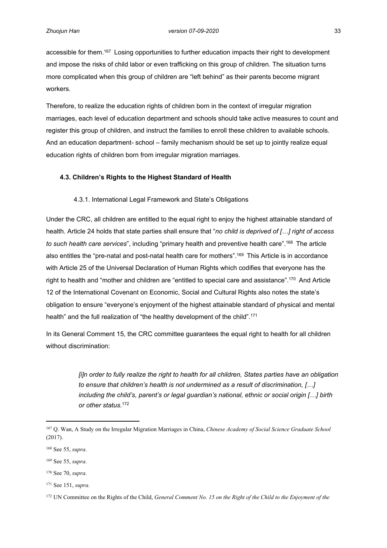accessible for them.<sup>167</sup> Losing opportunities to further education impacts their right to development and impose the risks of child labor or even trafficking on this group of children. The situation turns more complicated when this group of children are "left behind" as their parents become migrant workers.

Therefore, to realize the education rights of children born in the context of irregular migration marriages, each level of education department and schools should take active measures to count and register this group of children, and instruct the families to enroll these children to available schools. And an education department- school – family mechanism should be set up to jointly realize equal education rights of children born from irregular migration marriages.

## <span id="page-41-0"></span>**4.3. Children's Rights to the Highest Standard of Health**

## <span id="page-41-1"></span>4.3.1. International Legal Framework and State's Obligations

Under the CRC, all children are entitled to the equal right to enjoy the highest attainable standard of health. Article 24 holds that state parties shall ensure that "*no child is deprived of […] right of access to such health care services*", including "primary health and preventive health care".<sup>168</sup> The article also entitles the "pre-natal and post-natal health care for mothers".<sup>169</sup> This Article is in accordance with Article 25 of the Universal Declaration of Human Rights which codifies that everyone has the right to health and "mother and children are "entitled to special care and assistance".<sup>170</sup> And Article 12 of the International Covenant on Economic, Social and Cultural Rights also notes the state's obligation to ensure "everyone's enjoyment of the highest attainable standard of physical and mental health" and the full realization of "the healthy development of the child".<sup>171</sup>

In its General Comment 15, the CRC committee guarantees the equal right to health for all children without discrimination:

> *[i]n order to fully realize the right to health for all children, States parties have an obligation to ensure that children's health is not undermined as a result of discrimination, […] including the child's, parent's or legal guardian's national, ethnic or social origin […] birth or other status.*<sup>172</sup>

<sup>167</sup> Q. Wan, A Study on the Irregular Migration Marriages in China, *Chinese Academy of Social Science Graduate School*  (2017).

<sup>168</sup> See 55, *supra*.

<sup>169</sup> See 55, *supra*.

<sup>170</sup> See 70, *supra*.

<sup>171</sup> See 151, *supra*.

<sup>172</sup> UN Committee on the Rights of the Child, *General Comment No. 15 on the Right of the Child to the Enjoyment of the*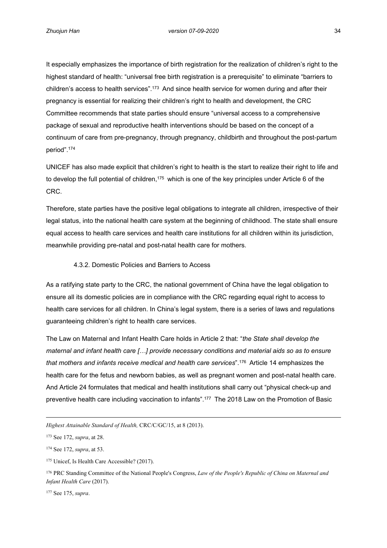It especially emphasizes the importance of birth registration for the realization of children's right to the highest standard of health: "universal free birth registration is a prerequisite" to eliminate "barriers to children's access to health services".<sup>173</sup> And since health service for women during and after their pregnancy is essential for realizing their children's right to health and development, the CRC Committee recommends that state parties should ensure "universal access to a comprehensive package of sexual and reproductive health interventions should be based on the concept of a continuum of care from pre-pregnancy, through pregnancy, childbirth and throughout the post-partum period".<sup>174</sup>

UNICEF has also made explicit that children's right to health is the start to realize their right to life and to develop the full potential of children,<sup>175</sup> which is one of the key principles under Article 6 of the CRC.

Therefore, state parties have the positive legal obligations to integrate all children, irrespective of their legal status, into the national health care system at the beginning of childhood. The state shall ensure equal access to health care services and health care institutions for all children within its jurisdiction, meanwhile providing pre-natal and post-natal health care for mothers.

## <span id="page-42-0"></span>4.3.2. Domestic Policies and Barriers to Access

As a ratifying state party to the CRC, the national government of China have the legal obligation to ensure all its domestic policies are in compliance with the CRC regarding equal right to access to health care services for all children. In China's legal system, there is a series of laws and regulations guaranteeing children's right to health care services.

The Law on Maternal and Infant Health Care holds in Article 2 that: "*the State shall develop the maternal and infant health care […] provide necessary conditions and material aids so as to ensure that mothers and infants receive medical and health care services*".<sup>176</sup> Article 14 emphasizes the health care for the fetus and newborn babies, as well as pregnant women and post-natal health care. And Article 24 formulates that medical and health institutions shall carry out "physical check-up and preventive health care including vaccination to infants".<sup>177</sup> The 2018 Law on the Promotion of Basic

177 See 175, *supra*.

*Highest Attainable Standard of Health,* CRC/C/GC/15, at 8 (2013).

<sup>173</sup> See 172, *supra*, at 28.

<sup>174</sup> See 172, *supra*, at 53.

<sup>175</sup> Unicef, Is Health Care Accessible? (2017).

<sup>176</sup> PRC Standing Committee of the National People's Congress, *Law of the People's Republic of China on Maternal and Infant Health Care* (2017).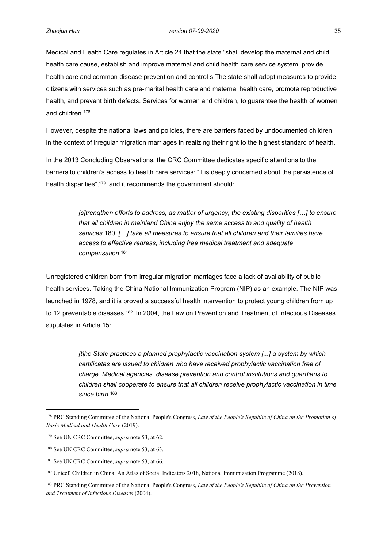Medical and Health Care regulates in Article 24 that the state "shall develop the maternal and child health care cause, establish and improve maternal and child health care service system, provide health care and common disease prevention and control s The state shall adopt measures to provide citizens with services such as pre-marital health care and maternal health care, promote reproductive health, and prevent birth defects. Services for women and children, to guarantee the health of women and children.<sup>178</sup>

However, despite the national laws and policies, there are barriers faced by undocumented children in the context of irregular migration marriages in realizing their right to the highest standard of health.

In the 2013 Concluding Observations, the CRC Committee dedicates specific attentions to the barriers to children's access to health care services: "it is deeply concerned about the persistence of health disparities",<sup>179</sup> and it recommends the government should:

> *[s]trengthen efforts to address, as matter of urgency, the existing disparities […] to ensure that all children in mainland China enjoy the same access to and quality of health services.*180 *[…] take all measures to ensure that all children and their families have access to effective redress, including free medical treatment and adequate compensation.*<sup>181</sup>

Unregistered children born from irregular migration marriages face a lack of availability of public health services. Taking the China National Immunization Program (NIP) as an example. The NIP was launched in 1978, and it is proved a successful health intervention to protect young children from up to 12 preventable diseases.<sup>182</sup> In 2004, the Law on Prevention and Treatment of Infectious Diseases stipulates in Article 15:

> *[t]he State practices a planned prophylactic vaccination system [...] a system by which certificates are issued to children who have received prophylactic vaccination free of charge. Medical agencies, disease prevention and control institutions and guardians to children shall cooperate to ensure that all children receive prophylactic vaccination in time since birth.*<sup>183</sup>

<sup>178</sup> PRC Standing Committee of the National People's Congress, *Law of the People's Republic of China on the Promotion of Basic Medical and Health Care* (2019).

<sup>179</sup> See UN CRC Committee, *supra* note 53, at 62.

<sup>180</sup> See UN CRC Committee, *supra* note 53, at 63.

<sup>181</sup> See UN CRC Committee, *supra* note 53, at 66.

<sup>&</sup>lt;sup>182</sup> Unicef, Children in China: An Atlas of Social Indicators 2018, National Immunization Programme (2018).

<sup>183</sup> PRC Standing Committee of the National People's Congress, *Law of the People's Republic of China on the Prevention and Treatment of Infectious Diseases* (2004).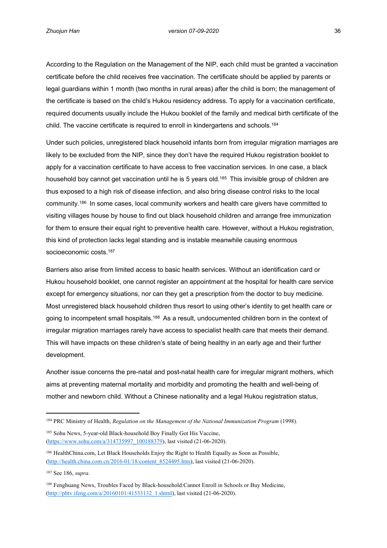According to the Regulation on the Management of the NIP, each child must be granted a vaccination certificate before the child receives free vaccination. The certificate should be applied by parents or legal guardians within 1 month (two months in rural areas) after the child is born; the management of the certificate is based on the child's Hukou residency address. To apply for a vaccination certificate, required documents usually include the Hukou booklet of the family and medical birth certificate of the child. The vaccine certificate is required to enroll in kindergartens and schools.<sup>184</sup>

Under such policies, unregistered black household infants born from irregular migration marriages are likely to be excluded from the NIP, since they don't have the required Hukou registration booklet to apply for a vaccination certificate to have access to free vaccination services. In one case, a black household boy cannot get vaccination until he is 5 years old.<sup>185</sup> This invisible group of children are thus exposed to a high risk of disease infection, and also bring disease control risks to the local community.<sup>186</sup> In some cases, local community workers and health care givers have committed to visiting villages house by house to find out black household children and arrange free immunization for them to ensure their equal right to preventive health care. However, without a Hukou registration, this kind of protection lacks legal standing and is instable meanwhile causing enormous socioeconomic costs.<sup>187</sup>

Barriers also arise from limited access to basic health services. Without an identification card or Hukou household booklet, one cannot register an appointment at the hospital for health care service except for emergency situations, nor can they get a prescription from the doctor to buy medicine. Most unregistered black household children thus resort to using other's identity to get health care or going to incompetent small hospitals.<sup>188</sup> As a result, undocumented children born in the context of irregular migration marriages rarely have access to specialist health care that meets their demand. This will have impacts on these children's state of being healthy in an early age and their further development.

Another issue concerns the pre-natal and post-natal health care for irregular migrant mothers, which aims at preventing maternal mortality and morbidity and promoting the health and well-being of mother and newborn child. Without a Chinese nationality and a legal Hukou registration status,

<sup>184</sup> PRC Ministry of Health, *Regulation on the Management of the National Immunization Program* (1998).

<sup>185</sup> Sohu News, 5-year-old Black-household Boy Finally Got His Vaccine, ([https://www.sohu.com/a/314735997\\_100188379\)](https://www.sohu.com/a/314735997_100188379), last visited (21-06-2020).

<sup>186</sup> HealthChina.com, Let Black Households Enjoy the Right to Health Equally as Soon as Possible, ([http://health.china.com.cn/2016-01/18/content\\_8524495.htm\)](http://health.china.com.cn/2016-01/18/content_8524495.htm), last visited (21-06-2020).

<sup>187</sup> See 186, *supra*.

<sup>188</sup> Fenghuang News, Troubles Faced by Black-household:Cannot Enroll in Schools or Buy Medicine, ([http://phtv.ifeng.com/a/20160101/41533132\\_1.shtml\)](http://phtv.ifeng.com/a/20160101/41533132_1.shtml), last visited (21-06-2020).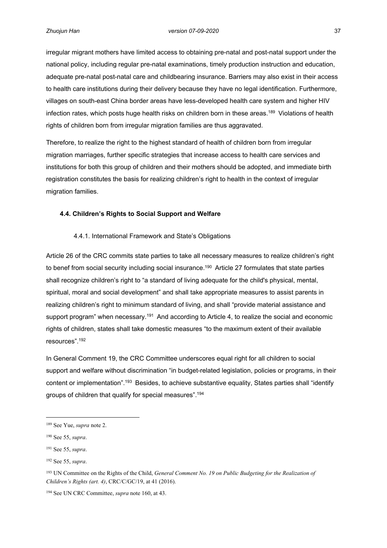irregular migrant mothers have limited access to obtaining pre-natal and post-natal support under the national policy, including regular pre-natal examinations, timely production instruction and education, adequate pre-natal post-natal care and childbearing insurance. Barriers may also exist in their access to health care institutions during their delivery because they have no legal identification. Furthermore, villages on south-east China border areas have less-developed health care system and higher HIV infection rates, which posts huge health risks on children born in these areas.<sup>189</sup> Violations of health rights of children born from irregular migration families are thus aggravated.

Therefore, to realize the right to the highest standard of health of children born from irregular migration marriages, further specific strategies that increase access to health care services and institutions for both this group of children and their mothers should be adopted, and immediate birth registration constitutes the basis for realizing children's right to health in the context of irregular migration families.

## <span id="page-45-0"></span>**4.4. Children's Rights to Social Support and Welfare**

#### <span id="page-45-1"></span>4.4.1. International Framework and State's Obligations

Article 26 of the CRC commits state parties to take all necessary measures to realize children's right to benef from social security including social insurance.<sup>190</sup> Article 27 formulates that state parties shall recognize children's right to "a standard of living adequate for the child's physical, mental, spiritual, moral and social development" and shall take appropriate measures to assist parents in realizing children's right to minimum standard of living, and shall "provide material assistance and support program" when necessary.<sup>191</sup> And according to Article 4, to realize the social and economic rights of children, states shall take domestic measures "to the maximum extent of their available resources".<sup>192</sup>

In General Comment 19, the CRC Committee underscores equal right for all children to social support and welfare without discrimination "in budget-related legislation, policies or programs, in their content or implementation".<sup>193</sup> Besides, to achieve substantive equality, States parties shall "identify groups of children that qualify for special measures".<sup>194</sup>

<sup>189</sup> See Yue, *supra* note 2.

<sup>190</sup> See 55, *supra*.

<sup>191</sup> See 55, *supra*.

<sup>192</sup> See 55, *supra*.

<sup>&</sup>lt;sup>193</sup> UN Committee on the Rights of the Child, *General Comment No. 19 on Public Budgeting for the Realization of Children's Rights (art. 4)*, CRC/C/GC/19, at 41 (2016).

<sup>194</sup> See UN CRC Committee, *supra* note 160, at 43.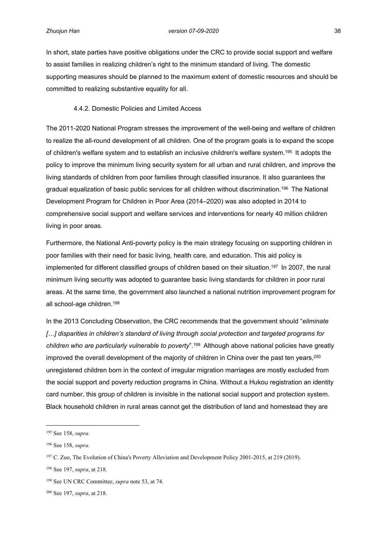In short, state parties have positive obligations under the CRC to provide social support and welfare to assist families in realizing children's right to the minimum standard of living. The domestic supporting measures should be planned to the maximum extent of domestic resources and should be committed to realizing substantive equality for all.

#### <span id="page-46-0"></span>4.4.2. Domestic Policies and Limited Access

The 2011-2020 National Program stresses the improvement of the well-being and welfare of children to realize the all-round development of all children. One of the program goals is to expand the scope of children's welfare system and to establish an inclusive children's welfare system.<sup>195</sup> It adopts the policy to improve the minimum living security system for all urban and rural children, and improve the living standards of children from poor families through classified insurance. It also guarantees the gradual equalization of basic public services for all children without discrimination.<sup>196</sup> The National Development Program for Children in Poor Area (2014–2020) was also adopted in 2014 to comprehensive social support and welfare services and interventions for nearly 40 million children living in poor areas.

Furthermore, the National Anti-poverty policy is the main strategy focusing on supporting children in poor families with their need for basic living, health care, and education. This aid policy is implemented for different classified groups of children based on their situation.<sup>197</sup> In 2007, the rural minimum living security was adopted to guarantee basic living standards for children in poor rural areas. At the same time, the government also launched a national nutrition improvement program for all school-age children.<sup>198</sup>

In the 2013 Concluding Observation, the CRC recommends that the government should "*eliminate […] disparities in children's standard of living through social protection and targeted programs for children who are particularly vulnerable to poverty*".<sup>199</sup> Although above national policies have greatly improved the overall development of the majority of children in China over the past ten years,<sup>200</sup> unregistered children born in the context of irregular migration marriages are mostly excluded from the social support and poverty reduction programs in China. Without a Hukou registration an identity card number, this group of children is invisible in the national social support and protection system. Black household children in rural areas cannot get the distribution of land and homestead they are

<sup>195</sup> See 158, *supra*.

<sup>196</sup> See 158, *supra*.

<sup>197</sup> C. Zuo, The Evolution of China's Poverty Alleviation and Development Policy 2001-2015, at 219 (2019).

<sup>198</sup> See 197, *supra*, at 218.

<sup>199</sup> See UN CRC Committee, *supra* note 53, at 74.

<sup>200</sup> See 197, *supra*, at 218.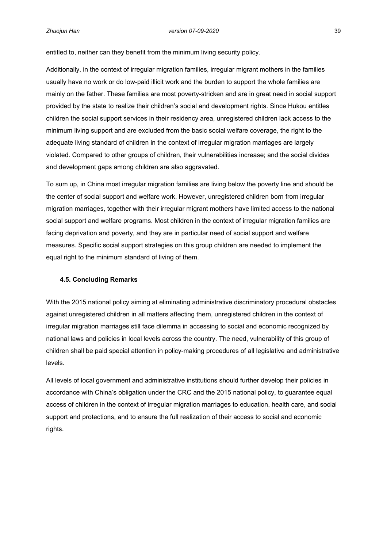entitled to, neither can they benefit from the minimum living security policy.

Additionally, in the context of irregular migration families, irregular migrant mothers in the families usually have no work or do low-paid illicit work and the burden to support the whole families are mainly on the father. These families are most poverty-stricken and are in great need in social support provided by the state to realize their children's social and development rights. Since Hukou entitles children the social support services in their residency area, unregistered children lack access to the minimum living support and are excluded from the basic social welfare coverage, the right to the adequate living standard of children in the context of irregular migration marriages are largely violated. Compared to other groups of children, their vulnerabilities increase; and the social divides and development gaps among children are also aggravated.

To sum up, in China most irregular migration families are living below the poverty line and should be the center of social support and welfare work. However, unregistered children born from irregular migration marriages, together with their irregular migrant mothers have limited access to the national social support and welfare programs. Most children in the context of irregular migration families are facing deprivation and poverty, and they are in particular need of social support and welfare measures. Specific social support strategies on this group children are needed to implement the equal right to the minimum standard of living of them.

#### <span id="page-47-0"></span>**4.5. Concluding Remarks**

With the 2015 national policy aiming at eliminating administrative discriminatory procedural obstacles against unregistered children in all matters affecting them, unregistered children in the context of irregular migration marriages still face dilemma in accessing to social and economic recognized by national laws and policies in local levels across the country. The need, vulnerability of this group of children shall be paid special attention in policy-making procedures of all legislative and administrative levels.

All levels of local government and administrative institutions should further develop their policies in accordance with China's obligation under the CRC and the 2015 national policy, to guarantee equal access of children in the context of irregular migration marriages to education, health care, and social support and protections, and to ensure the full realization of their access to social and economic rights.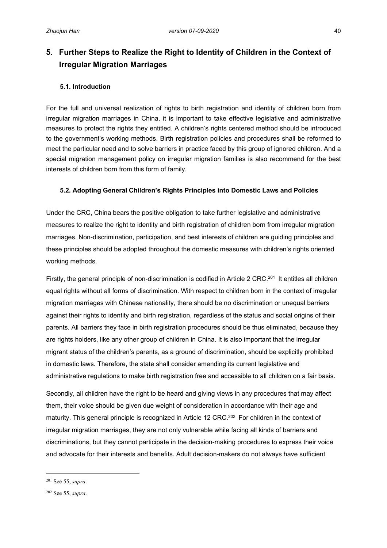# <span id="page-48-0"></span>**5. Further Steps to Realize the Right to Identity of Children in the Context of Irregular Migration Marriages**

## <span id="page-48-1"></span>**5.1. Introduction**

For the full and universal realization of rights to birth registration and identity of children born from irregular migration marriages in China, it is important to take effective legislative and administrative measures to protect the rights they entitled. A children's rights centered method should be introduced to the government's working methods. Birth registration policies and procedures shall be reformed to meet the particular need and to solve barriers in practice faced by this group of ignored children. And a special migration management policy on irregular migration families is also recommend for the best interests of children born from this form of family.

## <span id="page-48-2"></span>**5.2. Adopting General Children's Rights Principles into Domestic Laws and Policies**

Under the CRC, China bears the positive obligation to take further legislative and administrative measures to realize the right to identity and birth registration of children born from irregular migration marriages. Non-discrimination, participation, and best interests of children are guiding principles and these principles should be adopted throughout the domestic measures with children's rights oriented working methods.

Firstly, the general principle of non-discrimination is codified in Article 2 CRC.<sup>201</sup> It entitles all children equal rights without all forms of discrimination. With respect to children born in the context of irregular migration marriages with Chinese nationality, there should be no discrimination or unequal barriers against their rights to identity and birth registration, regardless of the status and social origins of their parents. All barriers they face in birth registration procedures should be thus eliminated, because they are rights holders, like any other group of children in China. It is also important that the irregular migrant status of the children's parents, as a ground of discrimination, should be explicitly prohibited in domestic laws. Therefore, the state shall consider amending its current legislative and administrative regulations to make birth registration free and accessible to all children on a fair basis.

Secondly, all children have the right to be heard and giving views in any procedures that may affect them, their voice should be given due weight of consideration in accordance with their age and maturity. This general principle is recognized in Article 12 CRC.<sup>202</sup> For children in the context of irregular migration marriages, they are not only vulnerable while facing all kinds of barriers and discriminations, but they cannot participate in the decision-making procedures to express their voice and advocate for their interests and benefits. Adult decision-makers do not always have sufficient

<sup>201</sup> See 55, *supra*.

<sup>202</sup> See 55, *supra*.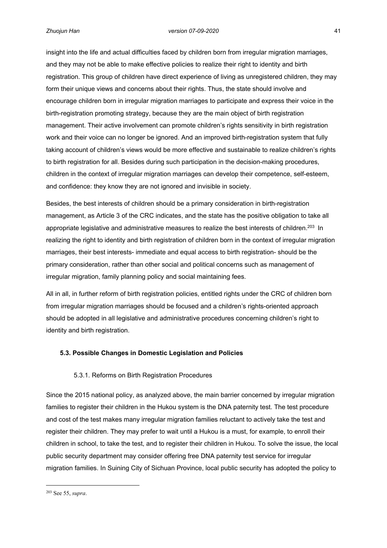insight into the life and actual difficulties faced by children born from irregular migration marriages, and they may not be able to make effective policies to realize their right to identity and birth registration. This group of children have direct experience of living as unregistered children, they may form their unique views and concerns about their rights. Thus, the state should involve and encourage children born in irregular migration marriages to participate and express their voice in the birth-registration promoting strategy, because they are the main object of birth registration management. Their active involvement can promote children's rights sensitivity in birth registration work and their voice can no longer be ignored. And an improved birth-registration system that fully taking account of children's views would be more effective and sustainable to realize children's rights to birth registration for all. Besides during such participation in the decision-making procedures, children in the context of irregular migration marriages can develop their competence, self-esteem, and confidence: they know they are not ignored and invisible in society.

Besides, the best interests of children should be a primary consideration in birth-registration management, as Article 3 of the CRC indicates, and the state has the positive obligation to take all appropriate legislative and administrative measures to realize the best interests of children.<sup>203</sup> In realizing the right to identity and birth registration of children born in the context of irregular migration marriages, their best interests- immediate and equal access to birth registration- should be the primary consideration, rather than other social and political concerns such as management of irregular migration, family planning policy and social maintaining fees.

All in all, in further reform of birth registration policies, entitled rights under the CRC of children born from irregular migration marriages should be focused and a children's rights-oriented approach should be adopted in all legislative and administrative procedures concerning children's right to identity and birth registration.

## <span id="page-49-0"></span>**5.3. Possible Changes in Domestic Legislation and Policies**

#### <span id="page-49-1"></span>5.3.1. Reforms on Birth Registration Procedures

Since the 2015 national policy, as analyzed above, the main barrier concerned by irregular migration families to register their children in the Hukou system is the DNA paternity test. The test procedure and cost of the test makes many irregular migration families reluctant to actively take the test and register their children. They may prefer to wait until a Hukou is a must, for example, to enroll their children in school, to take the test, and to register their children in Hukou. To solve the issue, the local public security department may consider offering free DNA paternity test service for irregular migration families. In Suining City of Sichuan Province, local public security has adopted the policy to

<sup>203</sup> See 55, *supra*.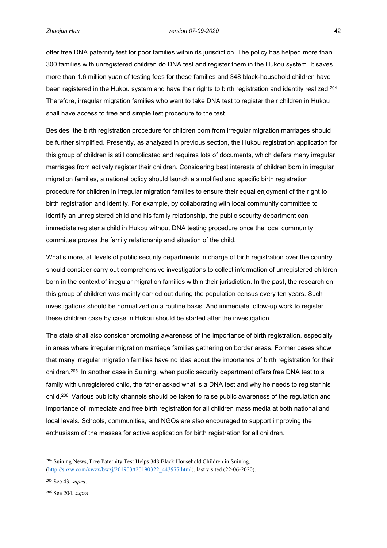offer free DNA paternity test for poor families within its jurisdiction. The policy has helped more than 300 families with unregistered children do DNA test and register them in the Hukou system. It saves more than 1.6 million yuan of testing fees for these families and 348 black-household children have been registered in the Hukou system and have their rights to birth registration and identity realized.<sup>204</sup> Therefore, irregular migration families who want to take DNA test to register their children in Hukou shall have access to free and simple test procedure to the test.

Besides, the birth registration procedure for children born from irregular migration marriages should be further simplified. Presently, as analyzed in previous section, the Hukou registration application for this group of children is still complicated and requires lots of documents, which defers many irregular marriages from actively register their children. Considering best interests of children born in irregular migration families, a national policy should launch a simplified and specific birth registration procedure for children in irregular migration families to ensure their equal enjoyment of the right to birth registration and identity. For example, by collaborating with local community committee to identify an unregistered child and his family relationship, the public security department can immediate register a child in Hukou without DNA testing procedure once the local community committee proves the family relationship and situation of the child.

What's more, all levels of public security departments in charge of birth registration over the country should consider carry out comprehensive investigations to collect information of unregistered children born in the context of irregular migration families within their jurisdiction. In the past, the research on this group of children was mainly carried out during the population census every ten years. Such investigations should be normalized on a routine basis. And immediate follow-up work to register these children case by case in Hukou should be started after the investigation.

The state shall also consider promoting awareness of the importance of birth registration, especially in areas where irregular migration marriage families gathering on border areas. Former cases show that many irregular migration families have no idea about the importance of birth registration for their children.<sup>205</sup> In another case in Suining, when public security department offers free DNA test to a family with unregistered child, the father asked what is a DNA test and why he needs to register his child.<sup>206</sup> Various publicity channels should be taken to raise public awareness of the regulation and importance of immediate and free birth registration for all children mass media at both national and local levels. Schools, communities, and NGOs are also encouraged to support improving the enthusiasm of the masses for active application for birth registration for all children.

<sup>204</sup> Suining News, Free Paternity Test Helps 348 Black Household Children in Suining, ([http://snxw.com/xwzx/bwzj/201903/t20190322\\_443977.html\)](http://snxw.com/xwzx/bwzj/201903/t20190322_443977.html), last visited (22-06-2020).

<sup>205</sup> See 43, *supra*.

<sup>206</sup> See 204, *supra*.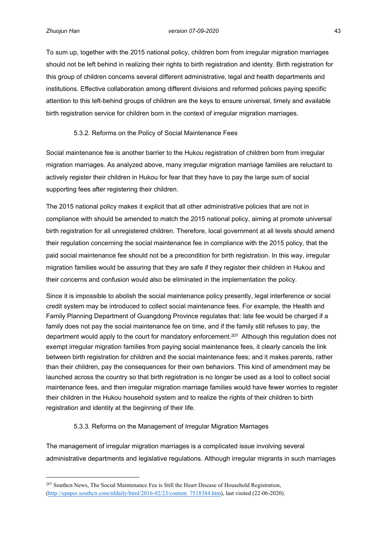To sum up, together with the 2015 national policy, children born from irregular migration marriages should not be left behind in realizing their rights to birth registration and identity. Birth registration for this group of children concerns several different administrative, legal and health departments and institutions. Effective collaboration among different divisions and reformed policies paying specific attention to this left-behind groups of children are the keys to ensure universal, timely and available birth registration service for children born in the context of irregular migration marriages.

## <span id="page-51-0"></span>5.3.2. Reforms on the Policy of Social Maintenance Fees

Social maintenance fee is another barrier to the Hukou registration of children born from irregular migration marriages. As analyzed above, many irregular migration marriage families are reluctant to actively register their children in Hukou for fear that they have to pay the large sum of social supporting fees after registering their children.

The 2015 national policy makes it explicit that all other administrative policies that are not in compliance with should be amended to match the 2015 national policy, aiming at promote universal birth registration for all unregistered children. Therefore, local government at all levels should amend their regulation concerning the social maintenance fee in compliance with the 2015 policy, that the paid social maintenance fee should not be a precondition for birth registration. In this way, irregular migration families would be assuring that they are safe if they register their children in Hukou and their concerns and confusion would also be eliminated in the implementation the policy.

Since it is impossible to abolish the social maintenance policy presently, legal interference or social credit system may be introduced to collect social maintenance fees. For example, the Health and Family Planning Department of Guangdong Province regulates that: late fee would be charged if a family does not pay the social maintenance fee on time, and if the family still refuses to pay, the department would apply to the court for mandatory enforcement.<sup>207</sup> Although this regulation does not exempt irregular migration families from paying social maintenance fees, it clearly cancels the link between birth registration for children and the social maintenance fees; and it makes parents, rather than their children, pay the consequences for their own behaviors. This kind of amendment may be launched across the country so that birth registration is no longer be used as a tool to collect social maintenance fees, and then irregular migration marriage families would have fewer worries to register their children in the Hukou household system and to realize the rights of their children to birth registration and identity at the beginning of their life.

## <span id="page-51-1"></span>5.3.3. Reforms on the Management of Irregular Migration Marriages

The management of irregular migration marriages is a complicated issue involving several administrative departments and legislative regulations. Although irregular migrants in such marriages

<sup>&</sup>lt;sup>207</sup> Southen News, The Social Maintenance Fee is Still the Heart Disease of Household Registration, ([http://epaper.southcn.com/nfdaily/html/2016-02/23/content\\_7518384.htm\)](http://epaper.southcn.com/nfdaily/html/2016-02/23/content_7518384.htm), last visited (22-06-2020).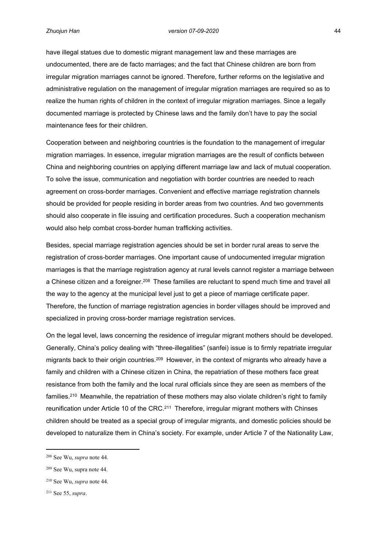have illegal statues due to domestic migrant management law and these marriages are undocumented, there are de facto marriages; and the fact that Chinese children are born from irregular migration marriages cannot be ignored. Therefore, further reforms on the legislative and administrative regulation on the management of irregular migration marriages are required so as to realize the human rights of children in the context of irregular migration marriages. Since a legally documented marriage is protected by Chinese laws and the family don't have to pay the social maintenance fees for their children.

Cooperation between and neighboring countries is the foundation to the management of irregular migration marriages. In essence, irregular migration marriages are the result of conflicts between China and neighboring countries on applying different marriage law and lack of mutual cooperation. To solve the issue, communication and negotiation with border countries are needed to reach agreement on cross-border marriages. Convenient and effective marriage registration channels should be provided for people residing in border areas from two countries. And two governments should also cooperate in file issuing and certification procedures. Such a cooperation mechanism would also help combat cross-border human trafficking activities.

Besides, special marriage registration agencies should be set in border rural areas to serve the registration of cross-border marriages. One important cause of undocumented irregular migration marriages is that the marriage registration agency at rural levels cannot register a marriage between a Chinese citizen and a foreigner.<sup>208</sup> These families are reluctant to spend much time and travel all the way to the agency at the municipal level just to get a piece of marriage certificate paper. Therefore, the function of marriage registration agencies in border villages should be improved and specialized in proving cross-border marriage registration services.

On the legal level, laws concerning the residence of irregular migrant mothers should be developed. Generally, China's policy dealing with "three-illegalities" (sanfei) issue is to firmly repatriate irregular migrants back to their origin countries.<sup>209</sup> However, in the context of migrants who already have a family and children with a Chinese citizen in China, the repatriation of these mothers face great resistance from both the family and the local rural officials since they are seen as members of the families.<sup>210</sup> Meanwhile, the repatriation of these mothers may also violate children's right to family reunification under Article 10 of the CRC.<sup>211</sup> Therefore, irregular migrant mothers with Chinses children should be treated as a special group of irregular migrants, and domestic policies should be developed to naturalize them in China's society. For example, under Article 7 of the Nationality Law,

<sup>208</sup> See Wu, *supra* note 44.

<sup>209</sup> See Wu, supra note 44.

<sup>210</sup> See Wu, *supra* note 44.

<sup>211</sup> See 55, *supra*.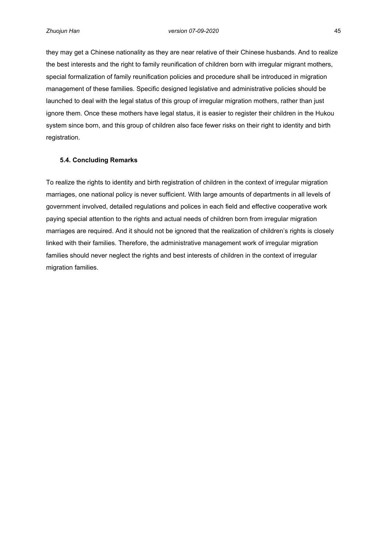they may get a Chinese nationality as they are near relative of their Chinese husbands. And to realize the best interests and the right to family reunification of children born with irregular migrant mothers, special formalization of family reunification policies and procedure shall be introduced in migration management of these families. Specific designed legislative and administrative policies should be launched to deal with the legal status of this group of irregular migration mothers, rather than just ignore them. Once these mothers have legal status, it is easier to register their children in the Hukou system since born, and this group of children also face fewer risks on their right to identity and birth registration.

## <span id="page-53-0"></span>**5.4. Concluding Remarks**

To realize the rights to identity and birth registration of children in the context of irregular migration marriages, one national policy is never sufficient. With large amounts of departments in all levels of government involved, detailed regulations and polices in each field and effective cooperative work paying special attention to the rights and actual needs of children born from irregular migration marriages are required. And it should not be ignored that the realization of children's rights is closely linked with their families. Therefore, the administrative management work of irregular migration families should never neglect the rights and best interests of children in the context of irregular migration families.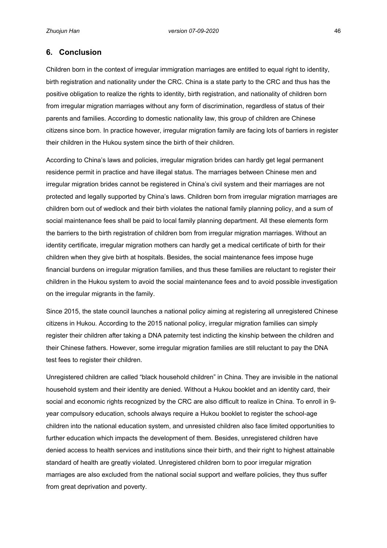## <span id="page-54-0"></span>**6. Conclusion**

Children born in the context of irregular immigration marriages are entitled to equal right to identity, birth registration and nationality under the CRC. China is a state party to the CRC and thus has the positive obligation to realize the rights to identity, birth registration, and nationality of children born from irregular migration marriages without any form of discrimination, regardless of status of their parents and families. According to domestic nationality law, this group of children are Chinese citizens since born. In practice however, irregular migration family are facing lots of barriers in register their children in the Hukou system since the birth of their children.

According to China's laws and policies, irregular migration brides can hardly get legal permanent residence permit in practice and have illegal status. The marriages between Chinese men and irregular migration brides cannot be registered in China's civil system and their marriages are not protected and legally supported by China's laws. Children born from irregular migration marriages are children born out of wedlock and their birth violates the national family planning policy, and a sum of social maintenance fees shall be paid to local family planning department. All these elements form the barriers to the birth registration of children born from irregular migration marriages. Without an identity certificate, irregular migration mothers can hardly get a medical certificate of birth for their children when they give birth at hospitals. Besides, the social maintenance fees impose huge financial burdens on irregular migration families, and thus these families are reluctant to register their children in the Hukou system to avoid the social maintenance fees and to avoid possible investigation on the irregular migrants in the family.

Since 2015, the state council launches a national policy aiming at registering all unregistered Chinese citizens in Hukou. According to the 2015 national policy, irregular migration families can simply register their children after taking a DNA paternity test indicting the kinship between the children and their Chinese fathers. However, some irregular migration families are still reluctant to pay the DNA test fees to register their children.

Unregistered children are called "black household children" in China. They are invisible in the national household system and their identity are denied. Without a Hukou booklet and an identity card, their social and economic rights recognized by the CRC are also difficult to realize in China. To enroll in 9 year compulsory education, schools always require a Hukou booklet to register the school-age children into the national education system, and unresisted children also face limited opportunities to further education which impacts the development of them. Besides, unregistered children have denied access to health services and institutions since their birth, and their right to highest attainable standard of health are greatly violated. Unregistered children born to poor irregular migration marriages are also excluded from the national social support and welfare policies, they thus suffer from great deprivation and poverty.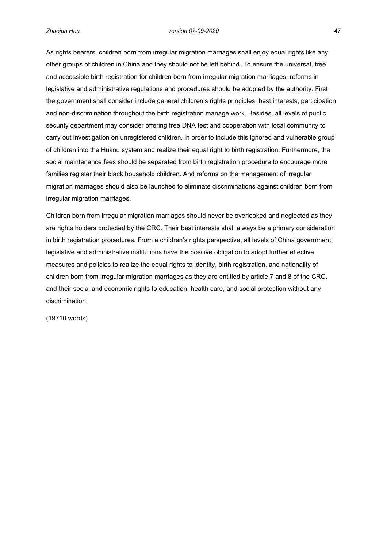As rights bearers, children born from irregular migration marriages shall enjoy equal rights like any other groups of children in China and they should not be left behind. To ensure the universal, free and accessible birth registration for children born from irregular migration marriages, reforms in legislative and administrative regulations and procedures should be adopted by the authority. First the government shall consider include general children's rights principles: best interests, participation and non-discrimination throughout the birth registration manage work. Besides, all levels of public security department may consider offering free DNA test and cooperation with local community to carry out investigation on unregistered children, in order to include this ignored and vulnerable group of children into the Hukou system and realize their equal right to birth registration. Furthermore, the social maintenance fees should be separated from birth registration procedure to encourage more families register their black household children. And reforms on the management of irregular migration marriages should also be launched to eliminate discriminations against children born from irregular migration marriages.

Children born from irregular migration marriages should never be overlooked and neglected as they are rights holders protected by the CRC. Their best interests shall always be a primary consideration in birth registration procedures. From a children's rights perspective, all levels of China government, legislative and administrative institutions have the positive obligation to adopt further effective measures and policies to realize the equal rights to identity, birth registration, and nationality of children born from irregular migration marriages as they are entitled by article 7 and 8 of the CRC, and their social and economic rights to education, health care, and social protection without any discrimination.

(19710 words)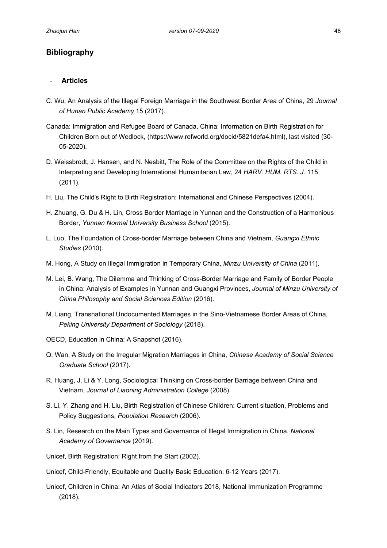## <span id="page-56-0"></span>**Bibliography**

## - **Articles**

- C. Wu, An Analysis of the Illegal Foreign Marriage in the Southwest Border Area of China, 29 *Journal of Hunan Public Academy* 15 (2017).
- Canada: Immigration and Refugee Board of Canada, China: Information on Birth Registration for Children Born out of Wedlock, (https://www.refworld.org/docid/5821defa4.html), last visited (30- 05-2020).
- D. Weissbrodt, J. Hansen, and N. Nesbitt, The Role of the Committee on the Rights of the Child in Interpreting and Developing International Humanitarian Law, 24 *HARV. HUM. RTS. J.* 115 (2011).
- H. Liu, The Child's Right to Birth Registration: International and Chinese Perspectives (2004).
- H. Zhuang, G. Du & H. Lin, Cross Border Marriage in Yunnan and the Construction of a Harmonious Border, *Yunnan Normal University Business School* (2015).
- L. Luo, The Foundation of Cross-border Marriage between China and Vietnam, *Guangxi Ethnic Studies* (2010).
- M. Hong, A Study on Illegal Immigration in Temporary China, *Minzu University of China* (2011).
- M. Lei, B. Wang, The Dilemma and Thinking of Cross-Border Marriage and Family of Border People in China: Analysis of Examples in Yunnan and Guangxi Provinces, *Journal of Minzu University of China Philosophy and Social Sciences Edition* (2016).
- M. Liang, Transnational Undocumented Marriages in the Sino-Vietnamese Border Areas of China, *Peking University Department of Sociology* (2018).
- OECD, Education in China: A Snapshot (2016).
- Q. Wan, A Study on the Irregular Migration Marriages in China, *Chinese Academy of Social Science Graduate School* (2017).
- R. Huang, J. Li & Y. Long, Sociological Thinking on Cross-border Barriage between China and Vietnam, *Journal of Liaoning Administration College* (2008).
- S. Li, Y. Zhang and H. Liu, Birth Registration of Chinese Children: Current situation, Problems and Policy Suggestions, *Population Research* (2006).
- S. Lin, Research on the Main Types and Governance of Illegal Immigration in China, *National Academy of Governance* (2019).
- Unicef, Birth Registration: Right from the Start (2002).
- Unicef, Child-Friendly, Equitable and Quality Basic Education: 6-12 Years (2017).
- Unicef, Children in China: An Atlas of Social Indicators 2018, National Immunization Programme (2018).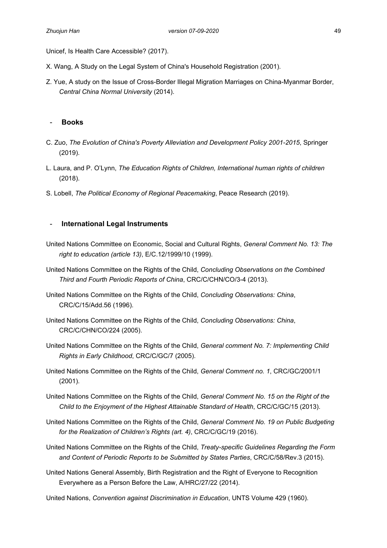Unicef, Is Health Care Accessible? (2017).

- X. Wang, A Study on the Legal System of China's Household Registration (2001).
- Z. Yue, A study on the Issue of Cross-Border Illegal Migration Marriages on China-Myanmar Border, *Central China Normal University* (2014).

## - **Books**

- C. Zuo, *The Evolution of China's Poverty Alleviation and Development Policy 2001-2015*, Springer (2019).
- L. Laura, and P. O'Lynn, *The Education Rights of Children, International human rights of children* (2018).
- S. Lobell, *The Political Economy of Regional Peacemaking*, Peace Research (2019).

## - **International Legal Instruments**

- United Nations Committee on Economic, Social and Cultural Rights, *General Comment No. 13: The right to education (article 13)*, E/C.12/1999/10 (1999).
- United Nations Committee on the Rights of the Child, *Concluding Observations on the Combined Third and Fourth Periodic Reports of China*, CRC/C/CHN/CO/3-4 (2013).
- United Nations Committee on the Rights of the Child, *Concluding Observations: China*, CRC/C/15/Add.56 (1996).
- United Nations Committee on the Rights of the Child, *Concluding Observations: China*, CRC/C/CHN/CO/224 (2005).
- United Nations Committee on the Rights of the Child, *General comment No. 7: Implementing Child Rights in Early Childhood*, CRC/C/GC/7 (2005).
- United Nations Committee on the Rights of the Child, *General Comment no. 1*, CRC/GC/2001/1 (2001).
- United Nations Committee on the Rights of the Child, *General Comment No. 15 on the Right of the Child to the Enjoyment of the Highest Attainable Standard of Health*, CRC/C/GC/15 (2013).
- United Nations Committee on the Rights of the Child, *General Comment No. 19 on Public Budgeting for the Realization of Children's Rights (art. 4)*, CRC/C/GC/19 (2016).
- United Nations Committee on the Rights of the Child, *Treaty-specific Guidelines Regarding the Form and Content of Periodic Reports to be Submitted by States Parties*, CRC/C/58/Rev.3 (2015).
- United Nations General Assembly, Birth Registration and the Right of Everyone to Recognition Everywhere as a Person Before the Law, A/HRC/27/22 (2014).

United Nations, *Convention against Discrimination in Education*, UNTS Volume 429 (1960).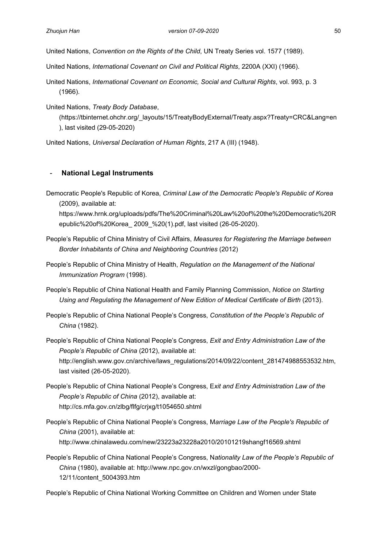United Nations, *Convention on the Rights of the Child*, UN Treaty Series vol. 1577 (1989).

United Nations, *International Covenant on Civil and Political Rights*, 2200A (XXI) (1966).

United Nations, *International Covenant on Economic, Social and Cultural Rights*, vol. 993, p. 3 (1966).

United Nations, *Treaty Body Database*,

(https://tbinternet.ohchr.org/\_layouts/15/TreatyBodyExternal/Treaty.aspx?Treaty=CRC&Lang=en ), last visited (29-05-2020)

United Nations, *Universal Declaration of Human Rights*, 217 A (III) (1948).

## - **National Legal Instruments**

Democratic People's Republic of Korea, *Criminal Law of the Democratic People's Republic of Korea* (2009), available at:

https://www.hrnk.org/uploads/pdfs/The%20Criminal%20Law%20of%20the%20Democratic%20R epublic%20of%20Korea\_ 2009\_%20(1).pdf, last visited (26-05-2020).

- People's Republic of China Ministry of Civil Affairs, *Measures for Registering the Marriage between Border Inhabitants of China and Neighboring Countries* (2012)
- People's Republic of China Ministry of Health, *Regulation on the Management of the National Immunization Program* (1998).
- People's Republic of China National Health and Family Planning Commission, *Notice on Starting Using and Regulating the Management of New Edition of Medical Certificate of Birth* (2013).
- People's Republic of China National People's Congress, *Constitution of the People's Republic of China* (1982).

People's Republic of China National People's Congress, *Exit and Entry Administration Law of the People's Republic of China* (2012), available at: http://english.www.gov.cn/archive/laws\_regulations/2014/09/22/content\_281474988553532.htm, last visited (26-05-2020).

- People's Republic of China National People's Congress, E*xit and Entry Administration Law of the People's Republic of China* (2012), available at: http://cs.mfa.gov.cn/zlbg/flfg/crjxg/t1054650.shtml
- People's Republic of China National People's Congress, M*arriage Law of the People's Republic of China* (2001), available at: http://www.chinalawedu.com/new/23223a23228a2010/20101219shangf16569.shtml
- People's Republic of China National People's Congress, N*ationality Law of the People's Republic of China* (1980), available at: http://www.npc.gov.cn/wxzl/gongbao/2000- 12/11/content\_5004393.htm

People's Republic of China National Working Committee on Children and Women under State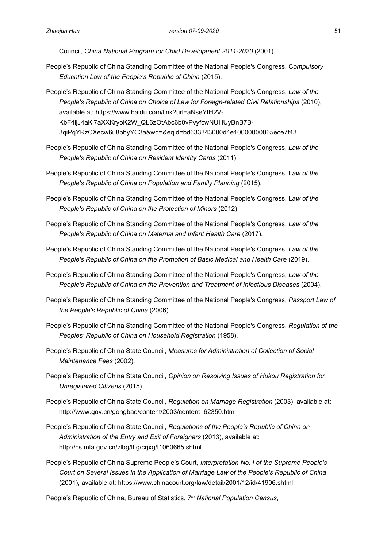Council, C*hina National Program for Child Development 2011-2020* (2001).

- People's Republic of China Standing Committee of the National People's Congress, C*ompulsory Education Law of the People's Republic of China* (2015).
- People's Republic of China Standing Committee of the National People's Congress, *Law of the People's Republic of China on Choice of Law for Foreign-related Civil Relationships* (2010), available at: https://www.baidu.com/link?url=aNseYtH2V-KbF4ljJ4aKi7aXXKryoK2W\_QL6zOtAbc6b0vPvyfcwNUHUyBnB7B-3qiPqYRzCXecw6u8bbyYC3a&wd=&eqid=bd633343000d4e10000000065ece7f43
- People's Republic of China Standing Committee of the National People's Congress, *Law of the People's Republic of China on Resident Identity Cards* (2011).
- People's Republic of China Standing Committee of the National People's Congress, L*aw of the People's Republic of China on Population and Family Planning (2015).*
- People's Republic of China Standing Committee of the National People's Congress, L*aw of the People's Republic of China on the Protection of Minors* (2012).
- People's Republic of China Standing Committee of the National People's Congress, *Law of the People's Republic of China on Maternal and Infant Health Care* (2017).
- People's Republic of China Standing Committee of the National People's Congress, *Law of the People's Republic of China on the Promotion of Basic Medical and Health Care* (2019).
- People's Republic of China Standing Committee of the National People's Congress, *Law of the People's Republic of China on the Prevention and Treatment of Infectious Diseases* (2004).
- People's Republic of China Standing Committee of the National People's Congress, *Passport Law of the People's Republic of China* (2006).
- People's Republic of China Standing Committee of the National People's Congress, *Regulation of the Peoples' Republic of China on Household Registration* (1958).
- People's Republic of China State Council, *Measures for Administration of Collection of Social Maintenance Fees* (2002).
- People's Republic of China State Council, *Opinion on Resolving Issues of Hukou Registration for Unregistered Citizens* (2015).
- People's Republic of China State Council, *Regulation on Marriage Registration* (2003), available at: http://www.gov.cn/gongbao/content/2003/content\_62350.htm
- People's Republic of China State Council, *Regulations of the People's Republic of China on Administration of the Entry and Exit of Foreigners* (2013), available at: http://cs.mfa.gov.cn/zlbg/flfg/crjxg/t1060665.shtml
- People's Republic of China Supreme People's Court, *Interpretation No. I of the Supreme People's Court on Several Issues in the Application of Marriage Law of the People's Republic of China*  (2001), available at: https://www.chinacourt.org/law/detail/2001/12/id/41906.shtml

People's Republic of China, Bureau of Statistics, *7 th National Population Census*,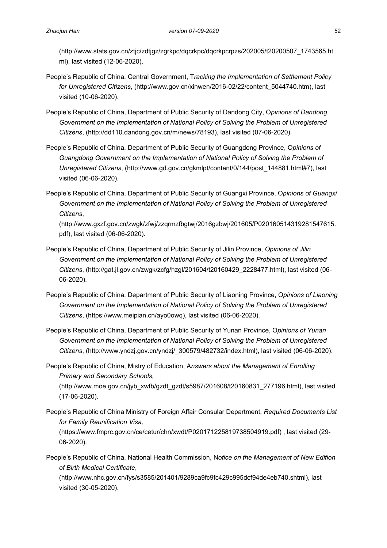(http://www.stats.gov.cn/ztjc/zdtjgz/zgrkpc/dqcrkpc/dqcrkpcrpzs/202005/t20200507\_1743565.ht ml), last visited (12-06-2020).

- People's Republic of China, Central Government, T*racking the Implementation of Settlement Policy for Unregistered Citizens*, (http://www.gov.cn/xinwen/2016-02/22/content\_5044740.htm), last visited (10-06-2020).
- People's Republic of China, Department of Public Security of Dandong City, O*pinions of Dandong Government on the Implementation of National Policy of Solving the Problem of Unregistered Citizens*, (http://dd110.dandong.gov.cn/m/news/78193), last visited (07-06-2020).
- People's Republic of China, Department of Public Security of Guangdong Province, O*pinions of Guangdong Government on the Implementation of National Policy of Solving the Problem of Unregistered Citizens*, (http://www.gd.gov.cn/gkmlpt/content/0/144/post\_144881.html#7), last visited (06-06-2020).
- People's Republic of China, Department of Public Security of Guangxi Province, O*pinions of Guangxi Government on the Implementation of National Policy of Solving the Problem of Unregistered Citizens*,

(http://www.gxzf.gov.cn/zwgk/zfwj/zzqrmzfbgtwj/2016gzbwj/201605/P020160514319281547615. pdf), last visited (06-06-2020).

- People's Republic of China, Department of Public Security of Jilin Province, *Opinions of Jilin Government on the Implementation of National Policy of Solving the Problem of Unregistered Citizens*, (http://gat.jl.gov.cn/zwgk/zcfg/hzgl/201604/t20160429\_2228477.html), last visited (06- 06-2020).
- People's Republic of China, Department of Public Security of Liaoning Province, O*pinions of Liaoning*  Government on the Implementation of National Policy of Solving the Problem of Unregistered *Citizens*, (https://www.meipian.cn/ayo0owq), last visited (06-06-2020).
- People's Republic of China, Department of Public Security of Yunan Province, O*pinions of Yunan Government on the Implementation of National Policy of Solving the Problem of Unregistered Citizens*, (http://www.yndzj.gov.cn/yndzj/\_300579/482732/index.html), last visited (06-06-2020).
- People's Republic of China, Mistry of Education, A*nswers about the Management of Enrolling Primary and Secondary Schools*,

(http://www.moe.gov.cn/jyb\_xwfb/gzdt\_gzdt/s5987/201608/t20160831\_277196.html), last visited (17-06-2020).

- People's Republic of China Ministry of Foreign Affair Consular Department, *Required Documents List for Family Reunification Visa,* (https://www.fmprc.gov.cn/ce/cetur/chn/xwdt/P020171225819738504919.pdf) , last visited (29- 06-2020).
- People's Republic of China, National Health Commission, N*otice on the Management of New Edition of Birth Medical Certificate*,

(http://www.nhc.gov.cn/fys/s3585/201401/9289ca9fc9fc429c995dcf94de4eb740.shtml), last visited (30-05-2020).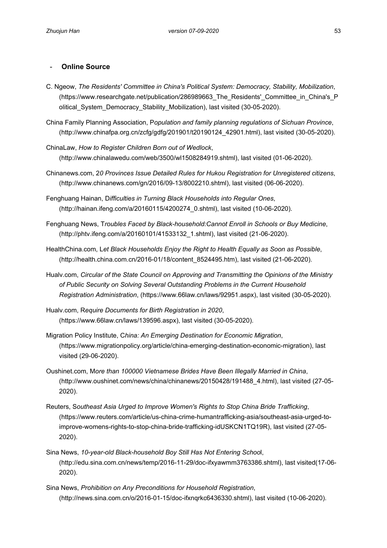## - **Online Source**

- C. Ngeow, *The Residents' Committee in China's Political System: Democracy, Stability, Mobilization*, (https://www.researchgate.net/publication/286989663\_The\_Residents'\_Committee\_in\_China's\_P olitical System Democracy Stability Mobilization), last visited (30-05-2020).
- China Family Planning Association, P*opulation and family planning regulations of Sichuan Province*, (http://www.chinafpa.org.cn/zcfg/gdfg/201901/t20190124\_42901.html), last visited (30-05-2020).
- ChinaLaw, *How to Register Children Born out of Wedlock*, (http://www.chinalawedu.com/web/3500/wl1508284919.shtml), last visited (01-06-2020).
- Chinanews.com, 2*0 Provinces Issue Detailed Rules for Hukou Registration for Unregistered citizens*, (http://www.chinanews.com/gn/2016/09-13/8002210.shtml), last visited (06-06-2020).
- Fenghuang Hainan, D*ifficulties in Turning Black Households into Regular Ones*, (http://hainan.ifeng.com/a/20160115/4200274\_0.shtml), last visited (10-06-2020).
- Fenghuang News, T*roubles Faced by Black-household:Cannot Enroll in Schools or Buy Medicine*, (http://phtv.ifeng.com/a/20160101/41533132\_1.shtml), last visited (21-06-2020).
- HealthChina.com, L*et Black Households Enjoy the Right to Health Equally as Soon as Possible*, (http://health.china.com.cn/2016-01/18/content\_8524495.htm), last visited (21-06-2020).
- Hualv.com, *Circular of the State Council on Approving and Transmitting the Opinions of the Ministry of Public Security on Solving Several Outstanding Problems in the Current Household Registration Administration*, (https://www.66law.cn/laws/92951.aspx), last visited (30-05-2020).
- Hualv.com, R*equire Documents for Birth Registration in 2020*, (https://www.66law.cn/laws/139596.aspx), last visited (30-05-2020).
- Migration Policy Institute, C*hina: An Emerging Destination for Economic Migration*, (https://www.migrationpolicy.org/article/china-emerging-destination-economic-migration), last visited (29-06-2020).
- Oushinet.com, M*ore than 100000 Vietnamese Brides Have Been Illegally Married in China*, (http://www.oushinet.com/news/china/chinanews/20150428/191488\_4.html), last visited (27-05- 2020).
- Reuters, S*outheast Asia Urged to Improve Women's Rights to Stop China Bride Trafficking*, (https://www.reuters.com/article/us-china-crime-humantrafficking-asia/southeast-asia-urged-toimprove-womens-rights-to-stop-china-bride-trafficking-idUSKCN1TQ19R), last visited (27-05- 2020).
- Sina News, *10-year-old Black-household Boy Still Has Not Entering Schoo*l, (http://edu.sina.com.cn/news/temp/2016-11-29/doc-ifxyawmm3763386.shtml), last visited(17-06- 2020).
- Sina News, *Prohibition on Any Preconditions for Household Registration*, (http://news.sina.com.cn/o/2016-01-15/doc-ifxnqrkc6436330.shtml), last visited (10-06-2020).